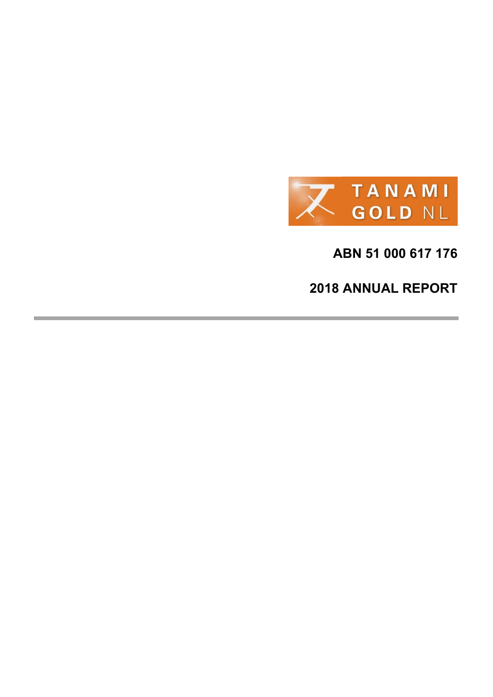

**ABN 51 000 617 176** 

**2018 ANNUAL REPORT**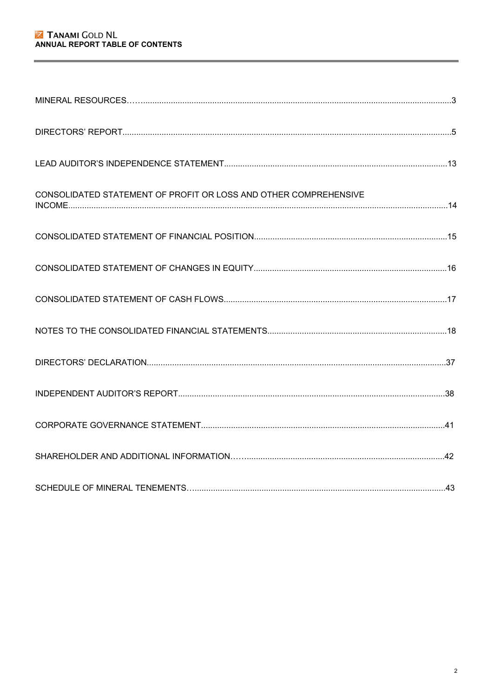| CONSOLIDATED STATEMENT OF PROFIT OR LOSS AND OTHER COMPREHENSIVE |  |
|------------------------------------------------------------------|--|
|                                                                  |  |
|                                                                  |  |
|                                                                  |  |
|                                                                  |  |
|                                                                  |  |
|                                                                  |  |
|                                                                  |  |
|                                                                  |  |
|                                                                  |  |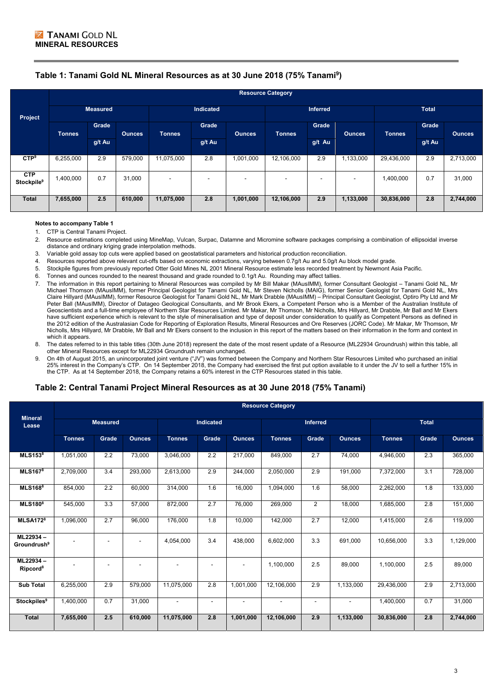# **Table 1: Tanami Gold NL Mineral Resources as at 30 June 2018 (75% Tanami9)**

|                                      | <b>Resource Category</b> |        |               |                          |                          |                          |               |                          |                          |               |        |               |
|--------------------------------------|--------------------------|--------|---------------|--------------------------|--------------------------|--------------------------|---------------|--------------------------|--------------------------|---------------|--------|---------------|
| Project                              | <b>Measured</b>          |        | Indicated     |                          | <b>Inferred</b>          |                          | <b>Total</b>  |                          |                          |               |        |               |
|                                      | <b>Tonnes</b>            | Grade  | <b>Ounces</b> | <b>Tonnes</b>            | <b>Grade</b>             | <b>Ounces</b>            | <b>Tonnes</b> | Grade                    | <b>Ounces</b>            | <b>Tonnes</b> | Grade  | <b>Ounces</b> |
|                                      |                          | g/t Au |               |                          | g/t Au                   |                          |               | g/t Au                   |                          |               | g/t Au |               |
| CTP <sup>9</sup>                     | 6,255,000                | 2.9    | 579,000       | 11,075,000               | 2.8                      | 1,001,000                | 12,106,000    | 2.9                      | 1,133,000                | 29,436,000    | 2.9    | 2,713,000     |
| <b>CTP</b><br>Stockpile <sup>9</sup> | 1,400,000                | 0.7    | 31,000        | $\overline{\phantom{a}}$ | $\overline{\phantom{a}}$ | $\overline{\phantom{a}}$ |               | $\overline{\phantom{0}}$ | $\overline{\phantom{a}}$ | 1,400,000     | 0.7    | 31,000        |
| <b>Total</b>                         | 7,655,000                | 2.5    | 610,000       | 11,075,000               | 2.8                      | 1,001,000                | 12,106,000    | 2.9                      | 1,133,000                | 30,836,000    | 2.8    | 2,744,000     |

#### **Notes to accompany Table 1**

1. CTP is Central Tanami Project.<br>2 Resource estimations complete

- Resource estimations completed using MineMap, Vulcan, Surpac, Datamne and Micromine software packages comprising a combination of ellipsoidal inverse distance and ordinary kriging grade interpolation methods.
- 3. Variable gold assay top cuts were applied based on geostatistical parameters and historical production reconciliation.
- 4. Resources reported above relevant cut-offs based on economic extractions, varying between 0.7g/t Au and 5.0g/t Au block model grade.
- 5. Stockpile figures from previously reported Otter Gold Mines NL 2001 Mineral Resource estimate less recorded treatment by Newmont Asia Pacific.
- 6. Tonnes and ounces rounded to the nearest thousand and grade rounded to 0.1g/t Au. Rounding may affect tallies.
- 7. The information in this report pertaining to Mineral Resources was compiled by Mr Bill Makar (MAusIMM), former Consultant Geologist Tanami Gold NL, Mr Michael Thomson (MAusIMM), former Principal Geologist for Tanami Gold NL, Mr Steven Nicholls (MAIG), former Senior Geologist for Tanami Gold NL, Mrs Claire Hillyard (MAusIMM), former Resource Geologist for Tanami Gold NL, Mr Mark Drabble (MAusIMM) – Principal Consultant Geologist, Optiro Pty Ltd and Mr Peter Ball (MAusIMM), Director of Datageo Geological Consultants, and Mr Brook Ekers, a Competent Person who is a Member of the Australian Institute of Geoscientists and a full-time employee of Northern Star Resources Limited. Mr Makar, Mr Thomson, Mr Nicholls, Mrs Hillyard, Mr Drabble, Mr Ball and Mr Ekers have sufficient experience which is relevant to the style of mineralisation and type of deposit under consideration to qualify as Competent Persons as defined in the 2012 edition of the Australasian Code for Reporting of Exploration Results, Mineral Resources and Ore Reserves (JORC Code). Mr Makar, Mr Thomson, Mr Nicholls, Mrs Hillyard, Mr Drabble, Mr Ball and Mr Ekers consent to the inclusion in this report of the matters based on their information in the form and context in which it appears.
- 8. The dates referred to in this table titles (30th June 2018) represent the date of the most resent update of a Resource (ML22934 Groundrush) within this table, all other Mineral Resources except for ML22934 Groundrush remain unchanged.
- 9. On 4th of August 2015, an unincorporated joint venture ("JV") was formed between the Company and Northern Star Resources Limited who purchased an initial 25% interest in the Company's CTP. On 14 September 2018, the Company had exercised the first put option available to it under the JV to sell a further 15% in the CTP. As at 14 September 2018, the Company retains a 60% interest in the CTP Resources stated in this table.

# **Table 2: Central Tanami Project Mineral Resources as at 30 June 2018 (75% Tanami)**

|                                     | <b>Resource Category</b> |       |               |                          |                |                 |                |                |                |               |       |               |
|-------------------------------------|--------------------------|-------|---------------|--------------------------|----------------|-----------------|----------------|----------------|----------------|---------------|-------|---------------|
| <b>Mineral</b><br>Lease             | <b>Measured</b>          |       |               | <b>Indicated</b>         |                | <b>Inferred</b> |                |                | <b>Total</b>   |               |       |               |
|                                     | <b>Tonnes</b>            | Grade | <b>Ounces</b> | <b>Tonnes</b>            | Grade          | <b>Ounces</b>   | <b>Tonnes</b>  | Grade          | <b>Ounces</b>  | <b>Tonnes</b> | Grade | <b>Ounces</b> |
| <b>MLS1538</b>                      | 1,051,000                | 2.2   | 73,000        | 3,046,000                | 2.2            | 217,000         | 849,000        | 2.7            | 74,000         | 4,946,000     | 2.3   | 365,000       |
| <b>MLS1678</b>                      | 2,709,000                | 3.4   | 293,000       | 2,613,000                | 2.9            | 244,000         | 2,050,000      | 2.9            | 191,000        | 7,372,000     | 3.1   | 728,000       |
| <b>MLS1688</b>                      | 854,000                  | 2.2   | 60,000        | 314,000                  | 1.6            | 16,000          | 1,094,000      | 1.6            | 58,000         | 2,262,000     | 1.8   | 133,000       |
| <b>MLS180<sup>8</sup></b>           | 545,000                  | 3.3   | 57.000        | 872,000                  | 2.7            | 76,000          | 269,000        | $\overline{2}$ | 18,000         | 1,685,000     | 2.8   | 151,000       |
| MLSA172 <sup>8</sup>                | 1,096,000                | 2.7   | 96,000        | 176,000                  | 1.8            | 10,000          | 142,000        | 2.7            | 12,000         | 1,415,000     | 2.6   | 119,000       |
| ML22934-<br>Groundrush <sup>9</sup> |                          | ٠     | ٠             | 4,054,000                | 3.4            | 438.000         | 6,602,000      | 3.3            | 691,000        | 10.656.000    | 3.3   | 1,129,000     |
| ML22934-<br>Ripcord <sup>8</sup>    |                          | ۰     | ٠             | $\overline{\phantom{a}}$ | $\blacksquare$ |                 | 1,100,000      | 2.5            | 89,000         | 1,100,000     | 2.5   | 89,000        |
| <b>Sub Total</b>                    | 6,255,000                | 2.9   | 579,000       | 11,075,000               | 2.8            | 1,001,000       | 12,106,000     | 2.9            | 1,133,000      | 29,436,000    | 2.9   | 2,713,000     |
| <b>Stockpiles<sup>9</sup></b>       | 1.400.000                | 0.7   | 31,000        | $\blacksquare$           | $\blacksquare$ | $\blacksquare$  | $\blacksquare$ | $\blacksquare$ | $\blacksquare$ | 1,400,000     | 0.7   | 31,000        |
| <b>Total</b>                        | 7,655,000                | 2.5   | 610,000       | 11,075,000               | 2.8            | 1,001,000       | 12,106,000     | 2.9            | 1,133,000      | 30,836,000    | 2.8   | 2,744,000     |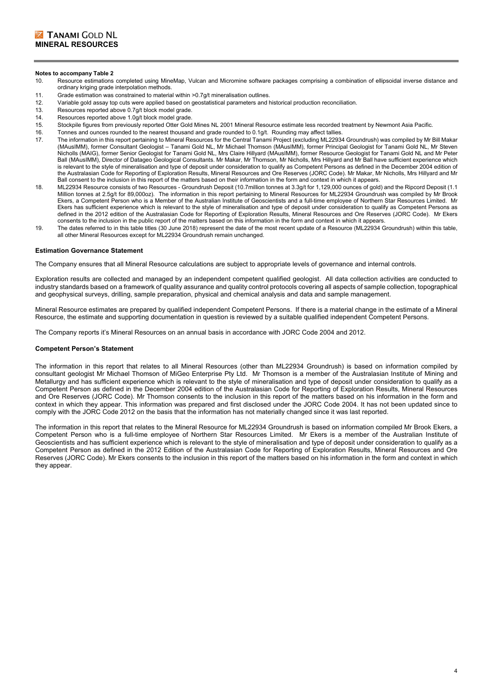#### **Notes to accompany Table 2**

- 10. Resource estimations completed using MineMap, Vulcan and Micromine software packages comprising a combination of ellipsoidal inverse distance and ordinary kriging grade interpolation methods.
- 11. Grade estimation was constrained to material within >0.7g/t mineralisation outlines.
- 12. Variable gold assay top cuts were applied based on geostatistical parameters and historical production reconciliation.
- 13. Resources reported above 0.7g/t block model grade.
- 14. Resources reported above 1.0g/t block model grade.
- 15. Stockpile figures from previously reported Otter Gold Mines NL 2001 Mineral Resource estimate less recorded treatment by Newmont Asia Pacific.
- 16. Tonnes and ounces rounded to the nearest thousand and grade rounded to 0.1g/t. Rounding may affect tallies<br>17. The information in this report pertaining to Mineral Resources for the Central Tanami Project (excluding ML
- 17. The information in this report pertaining to Mineral Resources for the Central Tanami Project (excluding ML22934 Groundrush) was compiled by Mr Bill Makar (MAusIMM), former Consultant Geologist – Tanami Gold NL, Mr Michael Thomson (MAusIMM), former Principal Geologist for Tanami Gold NL, Mr Steven Nicholls (MAIG), former Senior Geologist for Tanami Gold NL, Mrs Claire Hillyard (MAusIMM), former Resource Geologist for Tanami Gold NL and Mr Peter Ball (MAusIMM), Director of Datageo Geological Consultants. Mr Makar, Mr Thomson, Mr Nicholls, Mrs Hillyard and Mr Ball have sufficient experience which is relevant to the style of mineralisation and type of deposit under consideration to qualify as Competent Persons as defined in the December 2004 edition of the Australasian Code for Reporting of Exploration Results, Mineral Resources and Ore Reserves (JORC Code). Mr Makar, Mr Nicholls, Mrs Hillyard and Mr Ball consent to the inclusion in this report of the matters based on their information in the form and context in which it appears.
- 18. ML22934 Resource consists of two Resources Groundrush Deposit (10.7million tonnes at 3.3g/t for 1,129,000 ounces of gold) and the Ripcord Deposit (1.1 Million tonnes at 2.5g/t for 89,000oz). The information in this report pertaining to Mineral Resources for ML22934 Groundrush was compiled by Mr Brook Ekers, a Competent Person who is a Member of the Australian Institute of Geoscientists and a full-time employee of Northern Star Resources Limited. Mr Ekers has sufficient experience which is relevant to the style of mineralisation and type of deposit under consideration to qualify as Competent Persons as defined in the 2012 edition of the Australasian Code for Reporting of Exploration Results, Mineral Resources and Ore Reserves (JORC Code). Mr Ekers consents to the inclusion in the public report of the matters based on this information in the form and context in which it appears.
- 19. The dates referred to in this table titles (30 June 2018) represent the date of the most recent update of a Resource (ML22934 Groundrush) within this table, all other Mineral Resources except for ML22934 Groundrush remain unchanged.

#### **Estimation Governance Statement**

The Company ensures that all Mineral Resource calculations are subject to appropriate levels of governance and internal controls.

Exploration results are collected and managed by an independent competent qualified geologist. All data collection activities are conducted to industry standards based on a framework of quality assurance and quality control protocols covering all aspects of sample collection, topographical and geophysical surveys, drilling, sample preparation, physical and chemical analysis and data and sample management.

Mineral Resource estimates are prepared by qualified independent Competent Persons. If there is a material change in the estimate of a Mineral Resource, the estimate and supporting documentation in question is reviewed by a suitable qualified independent Competent Persons.

The Company reports it's Mineral Resources on an annual basis in accordance with JORC Code 2004 and 2012.

#### **Competent Person's Statement**

The information in this report that relates to all Mineral Resources (other than ML22934 Groundrush) is based on information compiled by consultant geologist Mr Michael Thomson of MiGeo Enterprise Pty Ltd. Mr Thomson is a member of the Australasian Institute of Mining and Metallurgy and has sufficient experience which is relevant to the style of mineralisation and type of deposit under consideration to qualify as a Competent Person as defined in the December 2004 edition of the Australasian Code for Reporting of Exploration Results, Mineral Resources and Ore Reserves (JORC Code). Mr Thomson consents to the inclusion in this report of the matters based on his information in the form and context in which they appear. This information was prepared and first disclosed under the JORC Code 2004. It has not been updated since to comply with the JORC Code 2012 on the basis that the information has not materially changed since it was last reported.

The information in this report that relates to the Mineral Resource for ML22934 Groundrush is based on information compiled Mr Brook Ekers, a Competent Person who is a full-time employee of Northern Star Resources Limited. Mr Ekers is a member of the Australian Institute of Geoscientists and has sufficient experience which is relevant to the style of mineralisation and type of deposit under consideration to qualify as a Competent Person as defined in the 2012 Edition of the Australasian Code for Reporting of Exploration Results, Mineral Resources and Ore Reserves (JORC Code). Mr Ekers consents to the inclusion in this report of the matters based on his information in the form and context in which they appear.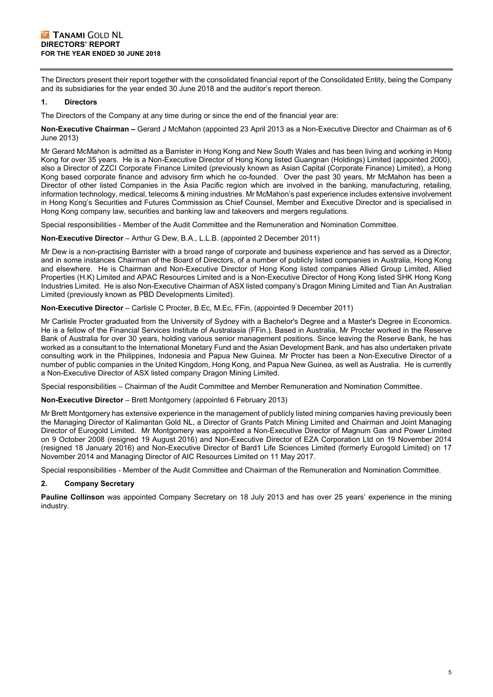The Directors present their report together with the consolidated financial report of the Consolidated Entity, being the Company and its subsidiaries for the year ended 30 June 2018 and the auditor's report thereon.

# **1. Directors**

The Directors of the Company at any time during or since the end of the financial year are:

**Non-Executive Chairman –** Gerard J McMahon (appointed 23 April 2013 as a Non-Executive Director and Chairman as of 6 June 2013)

Mr Gerard McMahon is admitted as a Barrister in Hong Kong and New South Wales and has been living and working in Hong Kong for over 35 years. He is a Non-Executive Director of Hong Kong listed Guangnan (Holdings) Limited (appointed 2000), also a Director of ZZCI Corporate Finance Limited (previously known as Asian Capital (Corporate Finance) Limited), a Hong Kong based corporate finance and advisory firm which he co-founded. Over the past 30 years, Mr McMahon has been a Director of other listed Companies in the Asia Pacific region which are involved in the banking, manufacturing, retailing, information technology, medical, telecoms & mining industries. Mr McMahon's past experience includes extensive involvement in Hong Kong's Securities and Futures Commission as Chief Counsel, Member and Executive Director and is specialised in Hong Kong company law, securities and banking law and takeovers and mergers regulations.

Special responsibilities - Member of the Audit Committee and the Remuneration and Nomination Committee.

**Non-Executive Director** – Arthur G Dew, B.A., L.L.B. (appointed 2 December 2011)

Mr Dew is a non-practising Barrister with a broad range of corporate and business experience and has served as a Director, and in some instances Chairman of the Board of Directors, of a number of publicly listed companies in Australia, Hong Kong and elsewhere. He is Chairman and Non-Executive Director of Hong Kong listed companies Allied Group Limited, Allied Properties (H.K) Limited and APAC Resources Limited and is a Non-Executive Director of Hong Kong listed SHK Hong Kong Industries Limited. He is also Non-Executive Chairman of ASX listed company's Dragon Mining Limited and Tian An Australian Limited (previously known as PBD Developments Limited).

**Non-Executive Director** – Carlisle C Procter, B.Ec, M.Ec, FFin, (appointed 9 December 2011)

Mr Carlisle Procter graduated from the University of Sydney with a Bachelor's Degree and a Master's Degree in Economics. He is a fellow of the Financial Services Institute of Australasia (FFin.). Based in Australia, Mr Procter worked in the Reserve Bank of Australia for over 30 years, holding various senior management positions. Since leaving the Reserve Bank, he has worked as a consultant to the International Monetary Fund and the Asian Development Bank, and has also undertaken private consulting work in the Philippines, Indonesia and Papua New Guinea. Mr Procter has been a Non-Executive Director of a number of public companies in the United Kingdom, Hong Kong, and Papua New Guinea, as well as Australia. He is currently a Non-Executive Director of ASX listed company Dragon Mining Limited.

Special responsibilities – Chairman of the Audit Committee and Member Remuneration and Nomination Committee.

**Non-Executive Director** – Brett Montgomery (appointed 6 February 2013)

Mr Brett Montgomery has extensive experience in the management of publicly listed mining companies having previously been the Managing Director of Kalimantan Gold NL, a Director of Grants Patch Mining Limited and Chairman and Joint Managing Director of Eurogold Limited. Mr Montgomery was appointed a Non-Executive Director of Magnum Gas and Power Limited on 9 October 2008 (resigned 19 August 2016) and Non-Executive Director of EZA Corporation Ltd on 19 November 2014 (resigned 18 January 2016) and Non-Executive Director of Bard1 Life Sciences Limited (formerly Eurogold Limited) on 17 November 2014 and Managing Director of AIC Resources Limited on 11 May 2017.

Special responsibilities - Member of the Audit Committee and Chairman of the Remuneration and Nomination Committee.

# **2. Company Secretary**

**Pauline Collinson** was appointed Company Secretary on 18 July 2013 and has over 25 years' experience in the mining industry.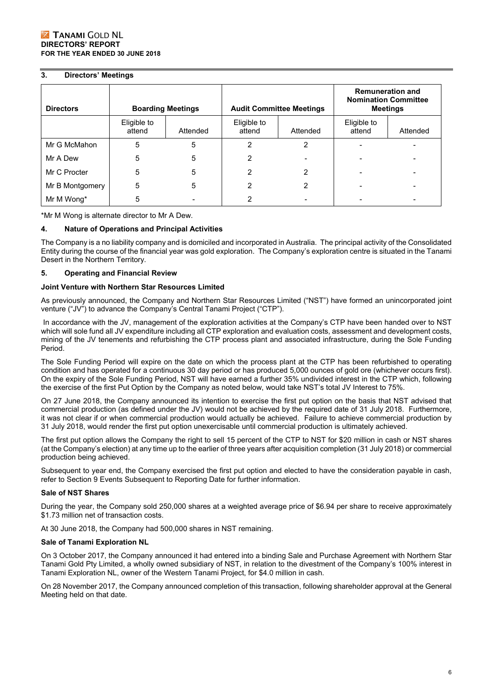# **3. Directors' Meetings**

| <b>Directors</b> | <b>Boarding Meetings</b> |          |                       | <b>Audit Committee Meetings</b> |                       | <b>Remuneration and</b><br><b>Nomination Committee</b><br><b>Meetings</b> |
|------------------|--------------------------|----------|-----------------------|---------------------------------|-----------------------|---------------------------------------------------------------------------|
|                  | Eligible to<br>attend    | Attended | Eligible to<br>attend | Attended                        | Eligible to<br>attend | Attended                                                                  |
| Mr G McMahon     | 5                        | 5        | 2                     | 2                               |                       |                                                                           |
| Mr A Dew         | 5                        | 5        | 2                     |                                 |                       |                                                                           |
| Mr C Procter     | 5                        | 5        | 2                     | 2                               |                       |                                                                           |
| Mr B Montgomery  | 5                        | 5        | 2                     | 2                               |                       |                                                                           |
| Mr M Wong*       | 5                        |          | っ                     |                                 |                       |                                                                           |

\*Mr M Wong is alternate director to Mr A Dew.

## **4. Nature of Operations and Principal Activities**

The Company is a no liability company and is domiciled and incorporated in Australia. The principal activity of the Consolidated Entity during the course of the financial year was gold exploration. The Company's exploration centre is situated in the Tanami Desert in the Northern Territory.

## **5. Operating and Financial Review**

#### **Joint Venture with Northern Star Resources Limited**

As previously announced, the Company and Northern Star Resources Limited ("NST") have formed an unincorporated joint venture ("JV") to advance the Company's Central Tanami Project ("CTP").

 In accordance with the JV, management of the exploration activities at the Company's CTP have been handed over to NST which will sole fund all JV expenditure including all CTP exploration and evaluation costs, assessment and development costs, mining of the JV tenements and refurbishing the CTP process plant and associated infrastructure, during the Sole Funding Period.

The Sole Funding Period will expire on the date on which the process plant at the CTP has been refurbished to operating condition and has operated for a continuous 30 day period or has produced 5,000 ounces of gold ore (whichever occurs first). On the expiry of the Sole Funding Period, NST will have earned a further 35% undivided interest in the CTP which, following the exercise of the first Put Option by the Company as noted below, would take NST's total JV Interest to 75%.

On 27 June 2018, the Company announced its intention to exercise the first put option on the basis that NST advised that commercial production (as defined under the JV) would not be achieved by the required date of 31 July 2018. Furthermore, it was not clear if or when commercial production would actually be achieved. Failure to achieve commercial production by 31 July 2018, would render the first put option unexercisable until commercial production is ultimately achieved.

The first put option allows the Company the right to sell 15 percent of the CTP to NST for \$20 million in cash or NST shares (at the Company's election) at any time up to the earlier of three years after acquisition completion (31 July 2018) or commercial production being achieved.

Subsequent to year end, the Company exercised the first put option and elected to have the consideration payable in cash, refer to Section 9 Events Subsequent to Reporting Date for further information.

# **Sale of NST Shares**

During the year, the Company sold 250,000 shares at a weighted average price of \$6.94 per share to receive approximately \$1.73 million net of transaction costs.

At 30 June 2018, the Company had 500,000 shares in NST remaining.

#### **Sale of Tanami Exploration NL**

On 3 October 2017, the Company announced it had entered into a binding Sale and Purchase Agreement with Northern Star Tanami Gold Pty Limited, a wholly owned subsidiary of NST, in relation to the divestment of the Company's 100% interest in Tanami Exploration NL, owner of the Western Tanami Project, for \$4.0 million in cash.

On 28 November 2017, the Company announced completion of this transaction, following shareholder approval at the General Meeting held on that date.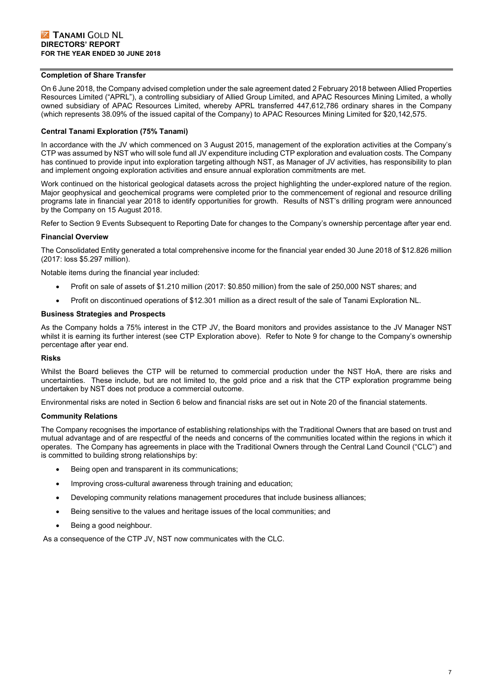## **Completion of Share Transfer**

On 6 June 2018, the Company advised completion under the sale agreement dated 2 February 2018 between Allied Properties Resources Limited ("APRL"), a controlling subsidiary of Allied Group Limited, and APAC Resources Mining Limited, a wholly owned subsidiary of APAC Resources Limited, whereby APRL transferred 447,612,786 ordinary shares in the Company (which represents 38.09% of the issued capital of the Company) to APAC Resources Mining Limited for \$20,142,575.

# **Central Tanami Exploration (75% Tanami)**

In accordance with the JV which commenced on 3 August 2015, management of the exploration activities at the Company's CTP was assumed by NST who will sole fund all JV expenditure including CTP exploration and evaluation costs. The Company has continued to provide input into exploration targeting although NST, as Manager of JV activities, has responsibility to plan and implement ongoing exploration activities and ensure annual exploration commitments are met.

Work continued on the historical geological datasets across the project highlighting the under-explored nature of the region. Major geophysical and geochemical programs were completed prior to the commencement of regional and resource drilling programs late in financial year 2018 to identify opportunities for growth. Results of NST's drilling program were announced by the Company on 15 August 2018.

Refer to Section 9 Events Subsequent to Reporting Date for changes to the Company's ownership percentage after year end.

#### **Financial Overview**

The Consolidated Entity generated a total comprehensive income for the financial year ended 30 June 2018 of \$12.826 million (2017: loss \$5.297 million).

Notable items during the financial year included:

- Profit on sale of assets of \$1.210 million (2017: \$0.850 million) from the sale of 250,000 NST shares; and
- Profit on discontinued operations of \$12.301 million as a direct result of the sale of Tanami Exploration NL.

#### **Business Strategies and Prospects**

As the Company holds a 75% interest in the CTP JV, the Board monitors and provides assistance to the JV Manager NST whilst it is earning its further interest (see CTP Exploration above). Refer to Note 9 for change to the Company's ownership percentage after year end.

#### **Risks**

Whilst the Board believes the CTP will be returned to commercial production under the NST HoA, there are risks and uncertainties. These include, but are not limited to, the gold price and a risk that the CTP exploration programme being undertaken by NST does not produce a commercial outcome.

Environmental risks are noted in Section 6 below and financial risks are set out in Note 20 of the financial statements.

#### **Community Relations**

The Company recognises the importance of establishing relationships with the Traditional Owners that are based on trust and mutual advantage and of are respectful of the needs and concerns of the communities located within the regions in which it operates. The Company has agreements in place with the Traditional Owners through the Central Land Council ("CLC") and is committed to building strong relationships by:

- Being open and transparent in its communications;
- Improving cross-cultural awareness through training and education;
- Developing community relations management procedures that include business alliances;
- Being sensitive to the values and heritage issues of the local communities; and
- Being a good neighbour.

As a consequence of the CTP JV, NST now communicates with the CLC.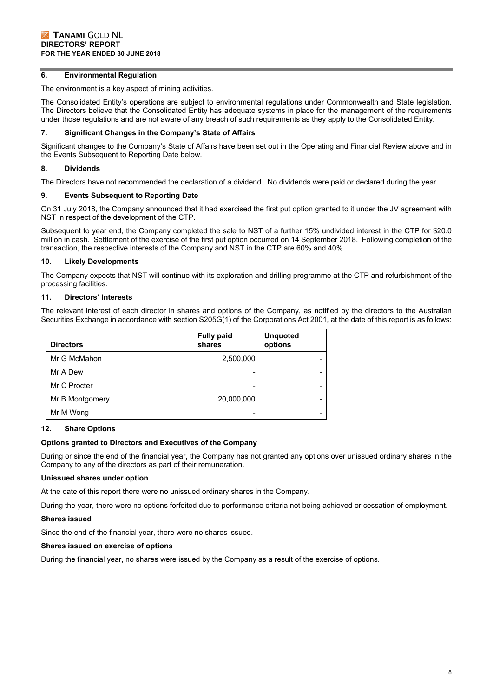# **6. Environmental Regulation**

The environment is a key aspect of mining activities.

The Consolidated Entity's operations are subject to environmental regulations under Commonwealth and State legislation. The Directors believe that the Consolidated Entity has adequate systems in place for the management of the requirements under those regulations and are not aware of any breach of such requirements as they apply to the Consolidated Entity.

## **7. Significant Changes in the Company's State of Affairs**

Significant changes to the Company's State of Affairs have been set out in the Operating and Financial Review above and in the Events Subsequent to Reporting Date below.

# **8. Dividends**

The Directors have not recommended the declaration of a dividend. No dividends were paid or declared during the year.

## **9. Events Subsequent to Reporting Date**

On 31 July 2018, the Company announced that it had exercised the first put option granted to it under the JV agreement with NST in respect of the development of the CTP.

Subsequent to year end, the Company completed the sale to NST of a further 15% undivided interest in the CTP for \$20.0 million in cash. Settlement of the exercise of the first put option occurred on 14 September 2018. Following completion of the transaction, the respective interests of the Company and NST in the CTP are 60% and 40%.

## **10. Likely Developments**

The Company expects that NST will continue with its exploration and drilling programme at the CTP and refurbishment of the processing facilities.

## **11. Directors' Interests**

The relevant interest of each director in shares and options of the Company, as notified by the directors to the Australian Securities Exchange in accordance with section S205G(1) of the Corporations Act 2001, at the date of this report is as follows:

| <b>Directors</b> | <b>Fully paid</b><br>shares | <b>Unquoted</b><br>options |
|------------------|-----------------------------|----------------------------|
| Mr G McMahon     | 2,500,000                   |                            |
| Mr A Dew         |                             |                            |
| Mr C Procter     | -                           |                            |
| Mr B Montgomery  | 20,000,000                  | -                          |
| Mr M Wong        |                             |                            |

# **12. Share Options**

#### **Options granted to Directors and Executives of the Company**

During or since the end of the financial year, the Company has not granted any options over unissued ordinary shares in the Company to any of the directors as part of their remuneration.

# **Unissued shares under option**

At the date of this report there were no unissued ordinary shares in the Company.

During the year, there were no options forfeited due to performance criteria not being achieved or cessation of employment.

# **Shares issued**

Since the end of the financial year, there were no shares issued.

# **Shares issued on exercise of options**

During the financial year, no shares were issued by the Company as a result of the exercise of options.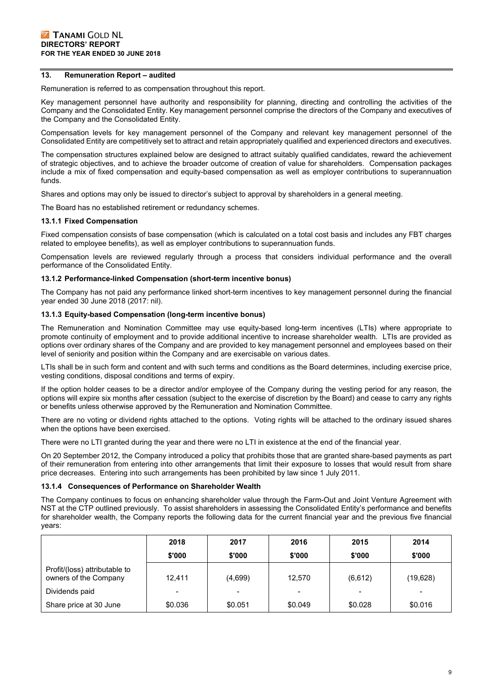#### **13. Remuneration Report – audited**

Remuneration is referred to as compensation throughout this report.

Key management personnel have authority and responsibility for planning, directing and controlling the activities of the Company and the Consolidated Entity. Key management personnel comprise the directors of the Company and executives of the Company and the Consolidated Entity.

Compensation levels for key management personnel of the Company and relevant key management personnel of the Consolidated Entity are competitively set to attract and retain appropriately qualified and experienced directors and executives.

The compensation structures explained below are designed to attract suitably qualified candidates, reward the achievement of strategic objectives, and to achieve the broader outcome of creation of value for shareholders. Compensation packages include a mix of fixed compensation and equity-based compensation as well as employer contributions to superannuation funds.

Shares and options may only be issued to director's subject to approval by shareholders in a general meeting.

The Board has no established retirement or redundancy schemes.

#### **13.1.1 Fixed Compensation**

Fixed compensation consists of base compensation (which is calculated on a total cost basis and includes any FBT charges related to employee benefits), as well as employer contributions to superannuation funds.

Compensation levels are reviewed regularly through a process that considers individual performance and the overall performance of the Consolidated Entity.

#### **13.1.2 Performance-linked Compensation (short-term incentive bonus)**

The Company has not paid any performance linked short-term incentives to key management personnel during the financial year ended 30 June 2018 (2017: nil).

#### **13.1.3 Equity-based Compensation (long-term incentive bonus)**

The Remuneration and Nomination Committee may use equity-based long-term incentives (LTIs) where appropriate to promote continuity of employment and to provide additional incentive to increase shareholder wealth. LTIs are provided as options over ordinary shares of the Company and are provided to key management personnel and employees based on their level of seniority and position within the Company and are exercisable on various dates.

LTIs shall be in such form and content and with such terms and conditions as the Board determines, including exercise price, vesting conditions, disposal conditions and terms of expiry.

If the option holder ceases to be a director and/or employee of the Company during the vesting period for any reason, the options will expire six months after cessation (subject to the exercise of discretion by the Board) and cease to carry any rights or benefits unless otherwise approved by the Remuneration and Nomination Committee.

There are no voting or dividend rights attached to the options. Voting rights will be attached to the ordinary issued shares when the options have been exercised.

There were no LTI granted during the year and there were no LTI in existence at the end of the financial year.

On 20 September 2012, the Company introduced a policy that prohibits those that are granted share-based payments as part of their remuneration from entering into other arrangements that limit their exposure to losses that would result from share price decreases. Entering into such arrangements has been prohibited by law since 1 July 2011.

#### **13.1.4 Consequences of Performance on Shareholder Wealth**

The Company continues to focus on enhancing shareholder value through the Farm-Out and Joint Venture Agreement with NST at the CTP outlined previously. To assist shareholders in assessing the Consolidated Entity's performance and benefits for shareholder wealth, the Company reports the following data for the current financial year and the previous five financial years:

|                                                        | 2018    | 2017    | 2016    | 2015    | 2014     |
|--------------------------------------------------------|---------|---------|---------|---------|----------|
|                                                        | \$'000  | \$'000  | \$'000  | \$'000  | \$'000   |
| Profit/(loss) attributable to<br>owners of the Company | 12.411  | (4,699) | 12.570  | (6,612) | (19,628) |
| Dividends paid                                         |         |         |         |         |          |
| Share price at 30 June                                 | \$0.036 | \$0.051 | \$0.049 | \$0.028 | \$0.016  |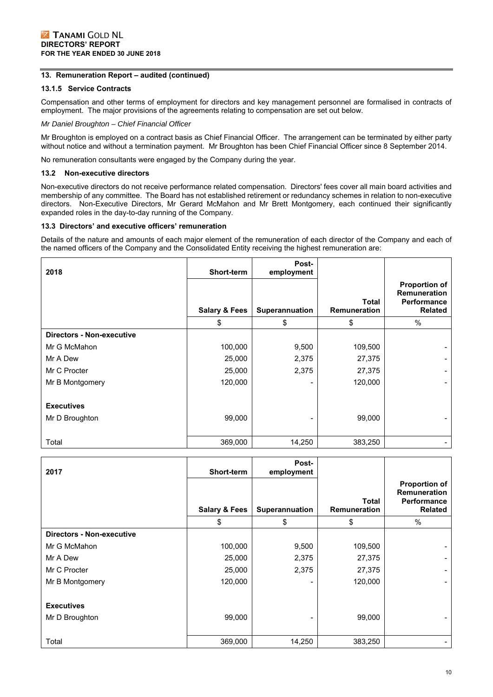# **13. Remuneration Report – audited (continued)**

# **13.1.5 Service Contracts**

Compensation and other terms of employment for directors and key management personnel are formalised in contracts of employment. The major provisions of the agreements relating to compensation are set out below.

## *Mr Daniel Broughton – Chief Financial Officer*

Mr Broughton is employed on a contract basis as Chief Financial Officer. The arrangement can be terminated by either party without notice and without a termination payment. Mr Broughton has been Chief Financial Officer since 8 September 2014.

No remuneration consultants were engaged by the Company during the year.

## **13.2 Non-executive directors**

Non-executive directors do not receive performance related compensation. Directors' fees cover all main board activities and membership of any committee. The Board has not established retirement or redundancy schemes in relation to non-executive directors. Non-Executive Directors, Mr Gerard McMahon and Mr Brett Montgomery, each continued their significantly expanded roles in the day-to-day running of the Company.

# **13.3 Directors' and executive officers' remuneration**

Details of the nature and amounts of each major element of the remuneration of each director of the Company and each of the named officers of the Company and the Consolidated Entity receiving the highest remuneration are:

| 2018                             | Short-term               | Post-<br>employment |                              |                                                                              |
|----------------------------------|--------------------------|---------------------|------------------------------|------------------------------------------------------------------------------|
|                                  | <b>Salary &amp; Fees</b> | Superannuation      | <b>Total</b><br>Remuneration | <b>Proportion of</b><br><b>Remuneration</b><br>Performance<br><b>Related</b> |
|                                  | \$                       | \$                  | \$                           | %                                                                            |
| <b>Directors - Non-executive</b> |                          |                     |                              |                                                                              |
| Mr G McMahon                     | 100,000                  | 9,500               | 109,500                      |                                                                              |
| Mr A Dew                         | 25,000                   | 2,375               | 27,375                       |                                                                              |
| Mr C Procter                     | 25,000                   | 2,375               | 27,375                       |                                                                              |
| Mr B Montgomery                  | 120,000                  |                     | 120,000                      |                                                                              |
|                                  |                          |                     |                              |                                                                              |
| <b>Executives</b>                |                          |                     |                              |                                                                              |
| Mr D Broughton                   | 99,000                   |                     | 99,000                       |                                                                              |
|                                  |                          |                     |                              |                                                                              |
| Total                            | 369,000                  | 14,250              | 383,250                      |                                                                              |

|                                  |                          | Post-          |              |                                           |
|----------------------------------|--------------------------|----------------|--------------|-------------------------------------------|
| 2017                             | Short-term               | employment     |              |                                           |
|                                  |                          |                |              | <b>Proportion of</b>                      |
|                                  |                          |                | <b>Total</b> | <b>Remuneration</b><br><b>Performance</b> |
|                                  | <b>Salary &amp; Fees</b> | Superannuation | Remuneration | <b>Related</b>                            |
|                                  | \$                       | \$             | \$           | $\%$                                      |
| <b>Directors - Non-executive</b> |                          |                |              |                                           |
| Mr G McMahon                     | 100,000                  | 9,500          | 109,500      | $\blacksquare$                            |
| Mr A Dew                         | 25,000                   | 2,375          | 27,375       |                                           |
| Mr C Procter                     | 25,000                   | 2,375          | 27,375       | $\overline{\phantom{0}}$                  |
| Mr B Montgomery                  | 120,000                  |                | 120,000      |                                           |
|                                  |                          |                |              |                                           |
| <b>Executives</b>                |                          |                |              |                                           |
| Mr D Broughton                   | 99,000                   |                | 99,000       | $\blacksquare$                            |
|                                  |                          |                |              |                                           |
| Total                            | 369,000                  | 14,250         | 383,250      | $\blacksquare$                            |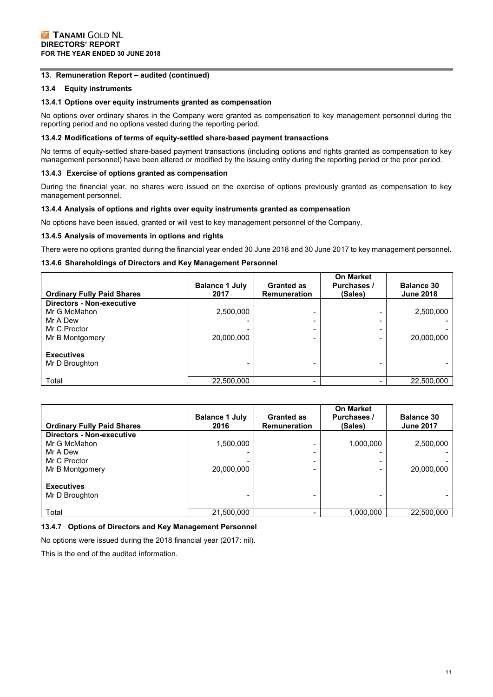# **13. Remuneration Report – audited (continued)**

# **13.4 Equity instruments**

#### **13.4.1 Options over equity instruments granted as compensation**

No options over ordinary shares in the Company were granted as compensation to key management personnel during the reporting period and no options vested during the reporting period.

#### **13.4.2 Modifications of terms of equity-settled share-based payment transactions**

No terms of equity-settled share-based payment transactions (including options and rights granted as compensation to key management personnel) have been altered or modified by the issuing entity during the reporting period or the prior period.

#### **13.4.3 Exercise of options granted as compensation**

During the financial year, no shares were issued on the exercise of options previously granted as compensation to key management personnel.

#### **13.4.4 Analysis of options and rights over equity instruments granted as compensation**

No options have been issued, granted or will vest to key management personnel of the Company.

#### **13.4.5 Analysis of movements in options and rights**

There were no options granted during the financial year ended 30 June 2018 and 30 June 2017 to key management personnel.

# **13.4.6 Shareholdings of Directors and Key Management Personnel**

| <b>Ordinary Fully Paid Shares</b>   | <b>Balance 1 July</b><br>2017 | <b>Granted as</b><br><b>Remuneration</b> | <b>On Market</b><br><b>Purchases /</b><br>(Sales) | <b>Balance 30</b><br><b>June 2018</b> |
|-------------------------------------|-------------------------------|------------------------------------------|---------------------------------------------------|---------------------------------------|
| <b>Directors - Non-executive</b>    |                               |                                          |                                                   |                                       |
| Mr G McMahon                        | 2,500,000                     |                                          |                                                   | 2,500,000                             |
| Mr A Dew                            |                               |                                          |                                                   |                                       |
| Mr C Proctor                        |                               |                                          |                                                   |                                       |
| Mr B Montgomery                     | 20,000,000                    |                                          |                                                   | 20,000,000                            |
| <b>Executives</b><br>Mr D Broughton |                               |                                          |                                                   |                                       |
| Total                               | 22,500,000                    | -                                        |                                                   | 22,500,000                            |

| <b>Ordinary Fully Paid Shares</b>   | <b>Balance 1 July</b><br>2016 | <b>Granted as</b><br><b>Remuneration</b> | <b>On Market</b><br><b>Purchases /</b><br>(Sales) | <b>Balance 30</b><br><b>June 2017</b> |
|-------------------------------------|-------------------------------|------------------------------------------|---------------------------------------------------|---------------------------------------|
| <b>Directors - Non-executive</b>    |                               |                                          |                                                   |                                       |
| Mr G McMahon                        | 1,500,000                     |                                          | 1,000,000                                         | 2,500,000                             |
| Mr A Dew                            |                               |                                          |                                                   |                                       |
| Mr C Proctor                        |                               |                                          |                                                   |                                       |
| Mr B Montgomery                     | 20,000,000                    |                                          |                                                   | 20,000,000                            |
| <b>Executives</b><br>Mr D Broughton |                               |                                          |                                                   |                                       |
| Total                               | 21,500,000                    |                                          | 1,000,000                                         | 22,500,000                            |

#### **13.4.7 Options of Directors and Key Management Personnel**

No options were issued during the 2018 financial year (2017: nil).

This is the end of the audited information.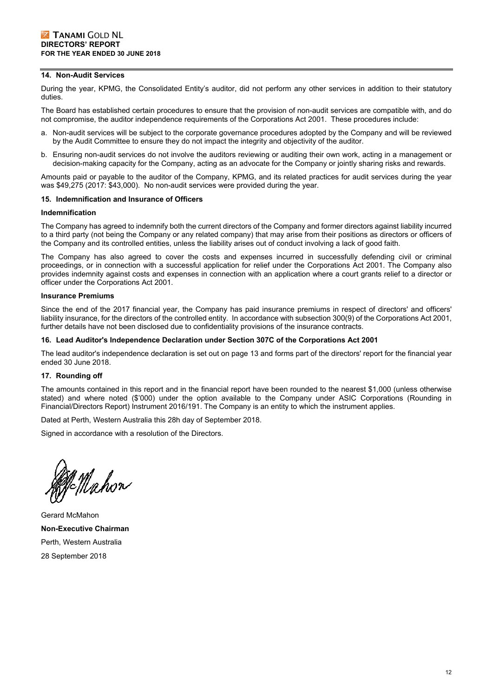#### **14. Non-Audit Services**

During the year, KPMG, the Consolidated Entity's auditor, did not perform any other services in addition to their statutory duties.

The Board has established certain procedures to ensure that the provision of non-audit services are compatible with, and do not compromise, the auditor independence requirements of the Corporations Act 2001. These procedures include:

- a. Non-audit services will be subject to the corporate governance procedures adopted by the Company and will be reviewed by the Audit Committee to ensure they do not impact the integrity and objectivity of the auditor.
- b. Ensuring non-audit services do not involve the auditors reviewing or auditing their own work, acting in a management or decision-making capacity for the Company, acting as an advocate for the Company or jointly sharing risks and rewards.

Amounts paid or payable to the auditor of the Company, KPMG, and its related practices for audit services during the year was \$49,275 (2017: \$43,000). No non-audit services were provided during the year.

#### **15. Indemnification and Insurance of Officers**

#### **Indemnification**

The Company has agreed to indemnify both the current directors of the Company and former directors against liability incurred to a third party (not being the Company or any related company) that may arise from their positions as directors or officers of the Company and its controlled entities, unless the liability arises out of conduct involving a lack of good faith.

The Company has also agreed to cover the costs and expenses incurred in successfully defending civil or criminal proceedings, or in connection with a successful application for relief under the Corporations Act 2001. The Company also provides indemnity against costs and expenses in connection with an application where a court grants relief to a director or officer under the Corporations Act 2001.

#### **Insurance Premiums**

Since the end of the 2017 financial year, the Company has paid insurance premiums in respect of directors' and officers' liability insurance, for the directors of the controlled entity. In accordance with subsection 300(9) of the Corporations Act 2001, further details have not been disclosed due to confidentiality provisions of the insurance contracts.

#### **16. Lead Auditor's Independence Declaration under Section 307C of the Corporations Act 2001**

The lead auditor's independence declaration is set out on page 13 and forms part of the directors' report for the financial year ended 30 June 2018.

#### **17. Rounding off**

The amounts contained in this report and in the financial report have been rounded to the nearest \$1,000 (unless otherwise stated) and where noted (\$'000) under the option available to the Company under ASIC Corporations (Rounding in Financial/Directors Report) Instrument 2016/191. The Company is an entity to which the instrument applies.

Dated at Perth, Western Australia this 28h day of September 2018.

Signed in accordance with a resolution of the Directors.

n<br>N=Mahon

Gerard McMahon **Non-Executive Chairman**  Perth, Western Australia 28 September 2018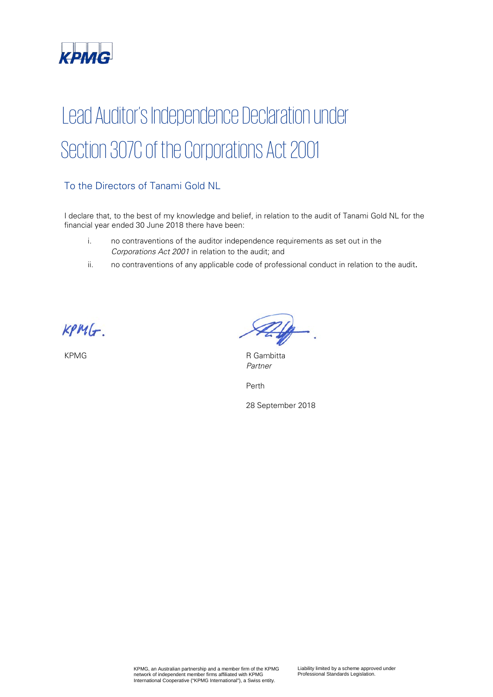

# Lead Auditor's Independence Declaration under Section 307C of the Corporations Act 2001

# To the Directors of Tanami Gold NL

I declare that, to the best of my knowledge and belief, in relation to the audit of Tanami Gold NL for the financial year ended 30 June 2018 there have been:

- i. no contraventions of the auditor independence requirements as set out in the Corporations Act 2001 in relation to the audit; and
- ii. no contraventions of any applicable code of professional conduct in relation to the audit.

 $KPMG$ .

KPMG R Gambitta Partner

Perth

28 September 2018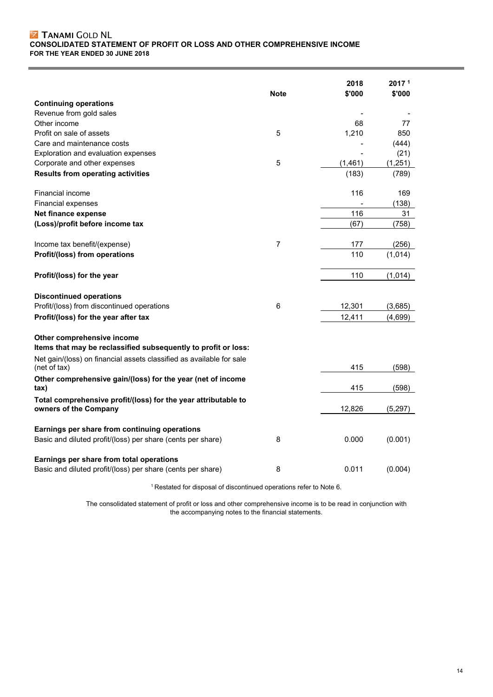# **Z TANAMI GOLD NL CONSOLIDATED STATEMENT OF PROFIT OR LOSS AND OTHER COMPREHENSIVE INCOME FOR THE YEAR ENDED 30 JUNE 2018**

|                                                                                              | <b>Note</b> | 2018<br>\$'000 | 2017 <sup>1</sup><br>\$'000 |
|----------------------------------------------------------------------------------------------|-------------|----------------|-----------------------------|
| <b>Continuing operations</b>                                                                 |             |                |                             |
| Revenue from gold sales                                                                      |             |                |                             |
| Other income                                                                                 |             | 68             | 77                          |
| Profit on sale of assets                                                                     | 5           | 1,210          | 850                         |
| Care and maintenance costs                                                                   |             |                | (444)                       |
| Exploration and evaluation expenses                                                          |             |                | (21)                        |
| Corporate and other expenses                                                                 | 5           | (1,461)        | (1,251)                     |
| <b>Results from operating activities</b>                                                     |             | (183)          | (789)                       |
| Financial income                                                                             |             | 116            | 169                         |
| Financial expenses                                                                           |             |                | (138)                       |
| Net finance expense                                                                          |             | 116            | 31                          |
| (Loss)/profit before income tax                                                              |             | (67)           | (758)                       |
| Income tax benefit/(expense)                                                                 | 7           | 177            | (256)                       |
| Profit/(loss) from operations                                                                |             | 110            | (1,014)                     |
| Profit/(loss) for the year                                                                   |             | 110            | (1,014)                     |
| <b>Discontinued operations</b>                                                               |             |                |                             |
| Profit/(loss) from discontinued operations                                                   | 6           | 12,301         | (3,685)                     |
| Profit/(loss) for the year after tax                                                         |             | 12,411         | (4,699)                     |
| Other comprehensive income<br>Items that may be reclassified subsequently to profit or loss: |             |                |                             |
| Net gain/(loss) on financial assets classified as available for sale<br>(net of tax)         |             | 415            | (598)                       |
| Other comprehensive gain/(loss) for the year (net of income<br>tax)                          |             | 415            | (598)                       |
| Total comprehensive profit/(loss) for the year attributable to<br>owners of the Company      |             | 12,826         | (5,297)                     |
| Earnings per share from continuing operations                                                |             |                |                             |
| Basic and diluted profit/(loss) per share (cents per share)                                  | 8           | 0.000          | (0.001)                     |
| Earnings per share from total operations                                                     |             |                |                             |
| Basic and diluted profit/(loss) per share (cents per share)                                  | 8           | 0.011          | (0.004)                     |

1 Restated for disposal of discontinued operations refer to Note 6.

The consolidated statement of profit or loss and other comprehensive income is to be read in conjunction with the accompanying notes to the financial statements.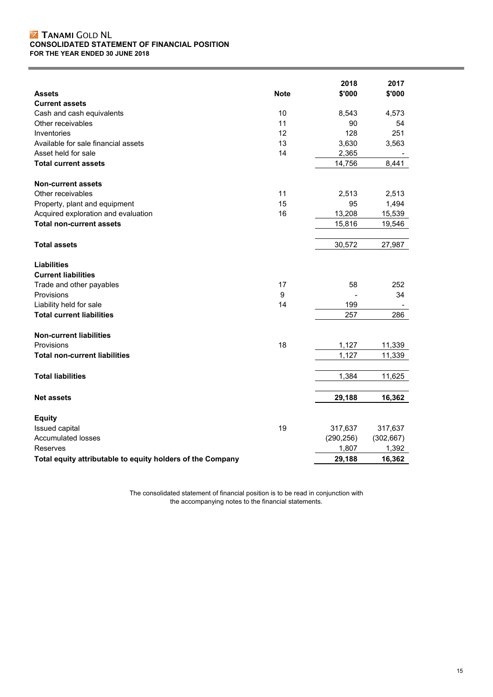# TANAMI GOLD NL **CONSOLIDATED STATEMENT OF FINANCIAL POSITION FOR THE YEAR ENDED 30 JUNE 2018**

|                                                            |             | 2018       | 2017       |
|------------------------------------------------------------|-------------|------------|------------|
| <b>Assets</b>                                              | <b>Note</b> | \$'000     | \$'000     |
| <b>Current assets</b>                                      |             |            |            |
| Cash and cash equivalents                                  | 10          | 8,543      | 4,573      |
| Other receivables                                          | 11          | 90         | 54         |
| Inventories                                                | 12          | 128        | 251        |
| Available for sale financial assets                        | 13          | 3,630      | 3,563      |
| Asset held for sale                                        | 14          | 2,365      |            |
| <b>Total current assets</b>                                |             | 14,756     | 8,441      |
| <b>Non-current assets</b>                                  |             |            |            |
| Other receivables                                          | 11          | 2,513      | 2,513      |
| Property, plant and equipment                              | 15          | 95         | 1,494      |
| Acquired exploration and evaluation                        | 16          | 13,208     | 15,539     |
| <b>Total non-current assets</b>                            |             | 15,816     | 19,546     |
| <b>Total assets</b>                                        |             | 30,572     | 27,987     |
| <b>Liabilities</b>                                         |             |            |            |
| <b>Current liabilities</b>                                 |             |            |            |
| Trade and other payables                                   | 17          | 58         | 252        |
| Provisions                                                 | 9           |            | 34         |
| Liability held for sale                                    | 14          | 199        |            |
| <b>Total current liabilities</b>                           |             | 257        | 286        |
| <b>Non-current liabilities</b>                             |             |            |            |
| Provisions                                                 | 18          | 1,127      | 11,339     |
| <b>Total non-current liabilities</b>                       |             | 1,127      | 11,339     |
| <b>Total liabilities</b>                                   |             | 1,384      | 11,625     |
|                                                            |             |            |            |
| <b>Net assets</b>                                          |             | 29,188     | 16,362     |
| <b>Equity</b>                                              |             |            |            |
| Issued capital                                             | 19          | 317,637    | 317,637    |
| <b>Accumulated losses</b>                                  |             | (290, 256) | (302, 667) |
| Reserves                                                   |             | 1,807      | 1,392      |
| Total equity attributable to equity holders of the Company |             | 29,188     | 16,362     |

The consolidated statement of financial position is to be read in conjunction with the accompanying notes to the financial statements.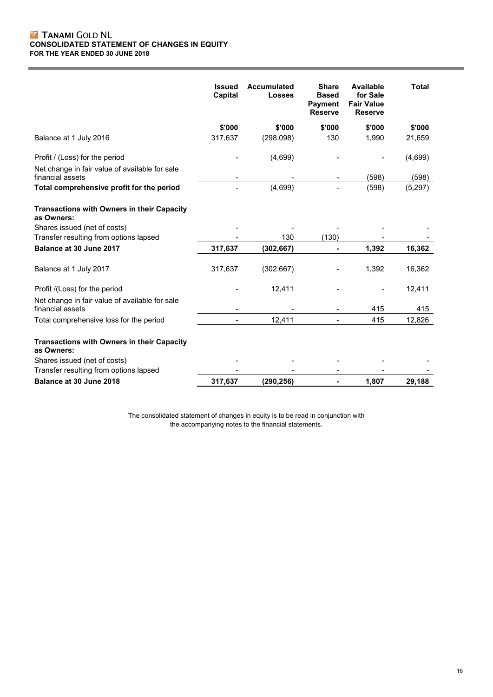# **Z TANAMI GOLD NL CONSOLIDATED STATEMENT OF CHANGES IN EQUITY FOR THE YEAR ENDED 30 JUNE 2018**

|                                                                    | <b>Issued</b><br><b>Capital</b> | <b>Accumulated</b><br><b>Losses</b> | <b>Share</b><br><b>Based</b><br><b>Payment</b><br><b>Reserve</b> | <b>Available</b><br>for Sale<br><b>Fair Value</b><br><b>Reserve</b> | <b>Total</b> |
|--------------------------------------------------------------------|---------------------------------|-------------------------------------|------------------------------------------------------------------|---------------------------------------------------------------------|--------------|
|                                                                    | \$'000                          | \$'000                              | \$'000                                                           | \$'000                                                              | \$'000       |
| Balance at 1 July 2016                                             | 317,637                         | (298,098)                           | 130                                                              | 1,990                                                               | 21,659       |
| Profit / (Loss) for the period                                     |                                 | (4,699)                             |                                                                  |                                                                     | (4,699)      |
| Net change in fair value of available for sale<br>financial assets |                                 |                                     |                                                                  | (598)                                                               | (598)        |
| Total comprehensive profit for the period                          |                                 | (4,699)                             |                                                                  | (598)                                                               | (5, 297)     |
| Transactions with Owners in their Capacity<br>as Owners:           |                                 |                                     |                                                                  |                                                                     |              |
| Shares issued (net of costs)                                       |                                 |                                     |                                                                  |                                                                     |              |
| Transfer resulting from options lapsed                             |                                 | 130                                 | (130)                                                            |                                                                     |              |
| Balance at 30 June 2017                                            | 317,637                         | (302, 667)                          | $\blacksquare$                                                   | 1,392                                                               | 16,362       |
| Balance at 1 July 2017                                             | 317,637                         | (302, 667)                          |                                                                  | 1,392                                                               | 16,362       |
| Profit /(Loss) for the period                                      |                                 | 12,411                              |                                                                  |                                                                     | 12,411       |
| Net change in fair value of available for sale<br>financial assets |                                 |                                     |                                                                  | 415                                                                 | 415          |
| Total comprehensive loss for the period                            |                                 | 12,411                              |                                                                  | 415                                                                 | 12,826       |
| Transactions with Owners in their Capacity<br>as Owners:           |                                 |                                     |                                                                  |                                                                     |              |
| Shares issued (net of costs)                                       |                                 |                                     |                                                                  |                                                                     |              |
| Transfer resulting from options lapsed                             |                                 |                                     |                                                                  |                                                                     |              |
| Balance at 30 June 2018                                            | 317,637                         | (290, 256)                          | ۰                                                                | 1,807                                                               | 29,188       |

The consolidated statement of changes in equity is to be read in conjunction with the accompanying notes to the financial statements.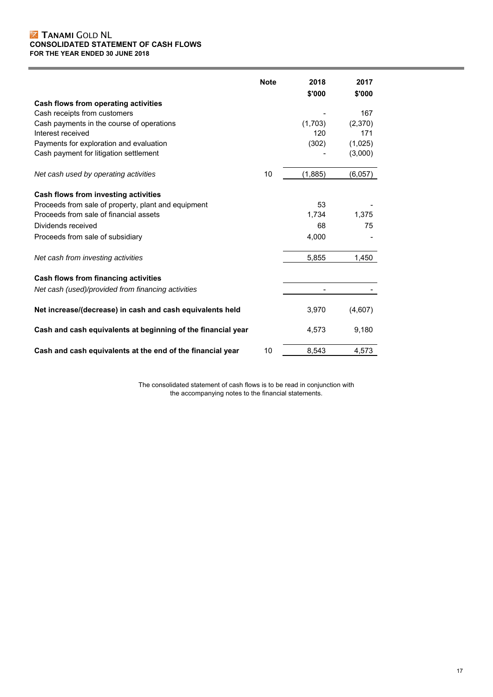## TANAMI GOLD NL **CONSOLIDATED STATEMENT OF CASH FLOWS FOR THE YEAR ENDED 30 JUNE 2018**

|                                                              | <b>Note</b> | 2018<br>\$'000 | 2017<br>\$'000 |
|--------------------------------------------------------------|-------------|----------------|----------------|
| Cash flows from operating activities                         |             |                |                |
| Cash receipts from customers                                 |             |                | 167            |
| Cash payments in the course of operations                    |             | (1,703)        | (2,370)        |
| Interest received                                            |             | 120            | 171            |
| Payments for exploration and evaluation                      |             | (302)          | (1,025)        |
| Cash payment for litigation settlement                       |             |                | (3,000)        |
| Net cash used by operating activities                        | 10          | (1,885)        | (6,057)        |
| Cash flows from investing activities                         |             |                |                |
| Proceeds from sale of property, plant and equipment          |             | 53             |                |
| Proceeds from sale of financial assets                       |             | 1,734          | 1,375          |
| Dividends received                                           |             | 68             | 75             |
| Proceeds from sale of subsidiary                             |             | 4,000          |                |
| Net cash from investing activities                           |             | 5,855          | 1,450          |
| Cash flows from financing activities                         |             |                |                |
| Net cash (used)/provided from financing activities           |             |                |                |
| Net increase/(decrease) in cash and cash equivalents held    |             | 3,970          | (4,607)        |
| Cash and cash equivalents at beginning of the financial year |             | 4,573          | 9,180          |
| Cash and cash equivalents at the end of the financial year   | 10          | 8,543          | 4,573          |

The consolidated statement of cash flows is to be read in conjunction with the accompanying notes to the financial statements.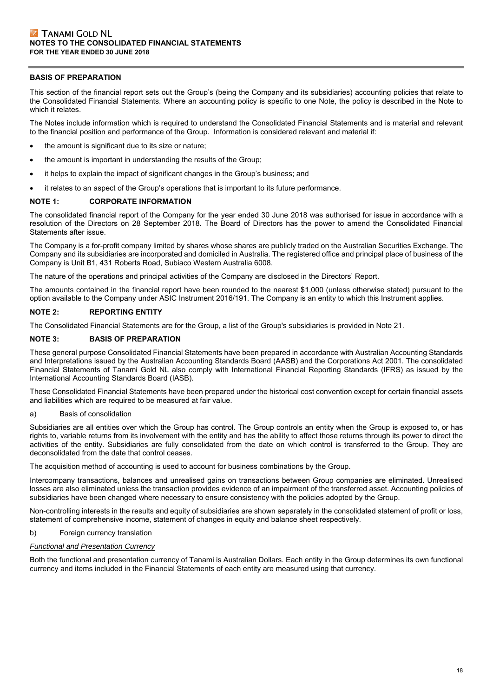# **BASIS OF PREPARATION**

This section of the financial report sets out the Group's (being the Company and its subsidiaries) accounting policies that relate to the Consolidated Financial Statements. Where an accounting policy is specific to one Note, the policy is described in the Note to which it relates.

The Notes include information which is required to understand the Consolidated Financial Statements and is material and relevant to the financial position and performance of the Group. Information is considered relevant and material if:

- the amount is significant due to its size or nature;
- the amount is important in understanding the results of the Group;
- it helps to explain the impact of significant changes in the Group's business; and
- it relates to an aspect of the Group's operations that is important to its future performance.

#### **NOTE 1: CORPORATE INFORMATION**

The consolidated financial report of the Company for the year ended 30 June 2018 was authorised for issue in accordance with a resolution of the Directors on 28 September 2018. The Board of Directors has the power to amend the Consolidated Financial Statements after issue.

The Company is a for-profit company limited by shares whose shares are publicly traded on the Australian Securities Exchange. The Company and its subsidiaries are incorporated and domiciled in Australia. The registered office and principal place of business of the Company is Unit B1, 431 Roberts Road, Subiaco Western Australia 6008.

The nature of the operations and principal activities of the Company are disclosed in the Directors' Report.

The amounts contained in the financial report have been rounded to the nearest \$1,000 (unless otherwise stated) pursuant to the option available to the Company under ASIC Instrument 2016/191. The Company is an entity to which this Instrument applies.

## **NOTE 2: REPORTING ENTITY**

The Consolidated Financial Statements are for the Group, a list of the Group's subsidiaries is provided in Note 21.

#### **NOTE 3: BASIS OF PREPARATION**

These general purpose Consolidated Financial Statements have been prepared in accordance with Australian Accounting Standards and Interpretations issued by the Australian Accounting Standards Board (AASB) and the Corporations Act 2001. The consolidated Financial Statements of Tanami Gold NL also comply with International Financial Reporting Standards (IFRS) as issued by the International Accounting Standards Board (IASB).

These Consolidated Financial Statements have been prepared under the historical cost convention except for certain financial assets and liabilities which are required to be measured at fair value.

#### a) Basis of consolidation

Subsidiaries are all entities over which the Group has control. The Group controls an entity when the Group is exposed to, or has rights to, variable returns from its involvement with the entity and has the ability to affect those returns through its power to direct the activities of the entity. Subsidiaries are fully consolidated from the date on which control is transferred to the Group. They are deconsolidated from the date that control ceases.

The acquisition method of accounting is used to account for business combinations by the Group.

Intercompany transactions, balances and unrealised gains on transactions between Group companies are eliminated. Unrealised losses are also eliminated unless the transaction provides evidence of an impairment of the transferred asset. Accounting policies of subsidiaries have been changed where necessary to ensure consistency with the policies adopted by the Group.

Non-controlling interests in the results and equity of subsidiaries are shown separately in the consolidated statement of profit or loss, statement of comprehensive income, statement of changes in equity and balance sheet respectively.

#### b) Foreign currency translation

## *Functional and Presentation Currency*

Both the functional and presentation currency of Tanami is Australian Dollars. Each entity in the Group determines its own functional currency and items included in the Financial Statements of each entity are measured using that currency.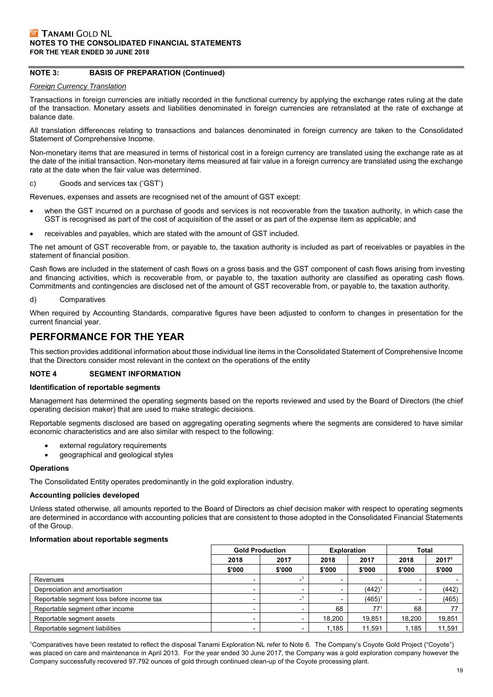# **NOTE 3: BASIS OF PREPARATION (Continued)**

#### *Foreign Currency Translation*

Transactions in foreign currencies are initially recorded in the functional currency by applying the exchange rates ruling at the date of the transaction. Monetary assets and liabilities denominated in foreign currencies are retranslated at the rate of exchange at balance date.

All translation differences relating to transactions and balances denominated in foreign currency are taken to the Consolidated Statement of Comprehensive Income.

Non-monetary items that are measured in terms of historical cost in a foreign currency are translated using the exchange rate as at the date of the initial transaction. Non-monetary items measured at fair value in a foreign currency are translated using the exchange rate at the date when the fair value was determined.

#### c) Goods and services tax ('GST')

Revenues, expenses and assets are recognised net of the amount of GST except:

- when the GST incurred on a purchase of goods and services is not recoverable from the taxation authority, in which case the GST is recognised as part of the cost of acquisition of the asset or as part of the expense item as applicable; and
- receivables and payables, which are stated with the amount of GST included.

The net amount of GST recoverable from, or payable to, the taxation authority is included as part of receivables or payables in the statement of financial position.

Cash flows are included in the statement of cash flows on a gross basis and the GST component of cash flows arising from investing and financing activities, which is recoverable from, or payable to, the taxation authority are classified as operating cash flows. Commitments and contingencies are disclosed net of the amount of GST recoverable from, or payable to, the taxation authority.

#### d) Comparatives

When required by Accounting Standards, comparative figures have been adjusted to conform to changes in presentation for the current financial year.

# **PERFORMANCE FOR THE YEAR**

This section provides additional information about those individual line items in the Consolidated Statement of Comprehensive Income that the Directors consider most relevant in the context on the operations of the entity

#### **NOTE 4 SEGMENT INFORMATION**

#### **Identification of reportable segments**

Management has determined the operating segments based on the reports reviewed and used by the Board of Directors (the chief operating decision maker) that are used to make strategic decisions.

Reportable segments disclosed are based on aggregating operating segments where the segments are considered to have similar economic characteristics and are also similar with respect to the following:

- external regulatory requirements
- geographical and geological styles

#### **Operations**

The Consolidated Entity operates predominantly in the gold exploration industry.

#### **Accounting policies developed**

Unless stated otherwise, all amounts reported to the Board of Directors as chief decision maker with respect to operating segments are determined in accordance with accounting policies that are consistent to those adopted in the Consolidated Financial Statements of the Group.

#### **Information about reportable segments**

|                                           | <b>Gold Production</b> |        | <b>Exploration</b> |             | Total  |                   |
|-------------------------------------------|------------------------|--------|--------------------|-------------|--------|-------------------|
|                                           | 2018                   | 2017   | 2018               | 2017        | 2018   | 2017 <sup>1</sup> |
|                                           | \$'000                 | \$'000 | \$'000             | \$'000      | \$'000 | \$'000            |
| Revenues                                  |                        |        |                    |             |        |                   |
| Depreciation and amortisation             |                        |        |                    | $(442)^{1}$ |        | (442)             |
| Reportable segment loss before income tax |                        |        |                    | $(465)^{1}$ |        | (465)             |
| Reportable segment other income           |                        |        | 68                 | $77^1$      | 68     |                   |
| Reportable segment assets                 |                        |        | 18.200             | 19,851      | 18.200 | 19,851            |
| Reportable segment liabilities            |                        |        | 1,185              | 11,591      | 1,185  | 11,591            |

1 Comparatives have been restated to reflect the disposal Tanami Exploration NL refer to Note 6. The Company's Coyote Gold Project ("Coyote") was placed on care and maintenance in April 2013. For the year ended 30 June 2017, the Company was a gold exploration company however the Company successfully recovered 97.792 ounces of gold through continued clean-up of the Coyote processing plant.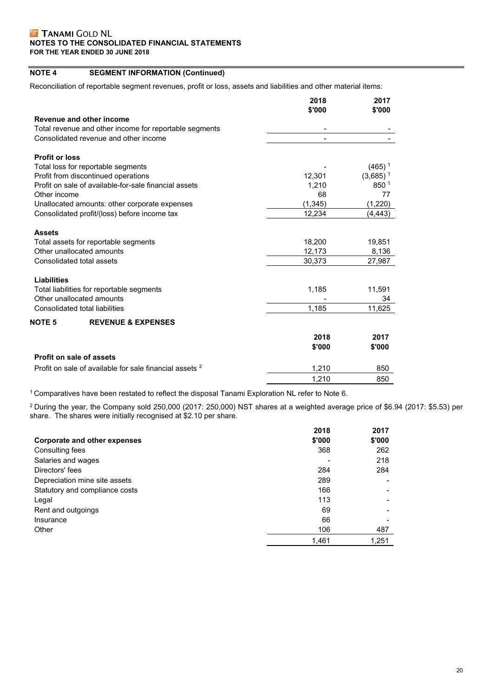# **NOTE 4 SEGMENT INFORMATION (Continued)**

Reconciliation of reportable segment revenues, profit or loss, assets and liabilities and other material items:

|                                                                    | 2018     | 2017                   |
|--------------------------------------------------------------------|----------|------------------------|
|                                                                    | \$'000   | \$'000                 |
| Revenue and other income                                           |          |                        |
| Total revenue and other income for reportable segments             |          |                        |
| Consolidated revenue and other income                              |          |                        |
| <b>Profit or loss</b>                                              |          |                        |
| Total loss for reportable segments                                 |          | $(465)$ <sup>1</sup>   |
| Profit from discontinued operations                                | 12,301   | $(3,685)$ <sup>1</sup> |
| Profit on sale of available-for-sale financial assets              | 1.210    | 850 1                  |
| Other income                                                       | 68       | 77                     |
| Unallocated amounts: other corporate expenses                      | (1, 345) | (1,220)                |
| Consolidated profit/(loss) before income tax                       | 12,234   | (4, 443)               |
| <b>Assets</b>                                                      |          |                        |
| Total assets for reportable segments                               | 18,200   | 19,851                 |
| Other unallocated amounts                                          | 12,173   | 8,136                  |
| Consolidated total assets                                          | 30,373   | 27,987                 |
|                                                                    |          |                        |
| <b>Liabilities</b>                                                 |          |                        |
| Total liabilities for reportable segments                          | 1,185    | 11,591                 |
| Other unallocated amounts                                          |          | 34                     |
| Consolidated total liabilities                                     | 1,185    | 11,625                 |
| NOTE 5<br><b>REVENUE &amp; EXPENSES</b>                            |          |                        |
|                                                                    | 2018     | 2017                   |
|                                                                    | \$'000   | \$'000                 |
| Profit on sale of assets                                           |          |                        |
| Profit on sale of available for sale financial assets <sup>2</sup> | 1,210    | 850                    |
|                                                                    | 1,210    | 850                    |

1 Comparatives have been restated to reflect the disposal Tanami Exploration NL refer to Note 6.

 $^2$ During the year, the Company sold 250,000 (2017: 250,000) NST shares at a weighted average price of \$6.94 (2017: \$5.53) per share. The shares were initially recognised at \$2.10 per share.

|                                | 2018   | 2017   |
|--------------------------------|--------|--------|
| Corporate and other expenses   | \$'000 | \$'000 |
| Consulting fees                | 368    | 262    |
| Salaries and wages             |        | 218    |
| Directors' fees                | 284    | 284    |
| Depreciation mine site assets  | 289    |        |
| Statutory and compliance costs | 166    |        |
| Legal                          | 113    |        |
| Rent and outgoings             | 69     |        |
| Insurance                      | 66     |        |
| Other                          | 106    | 487    |
|                                | 1.461  | 1,251  |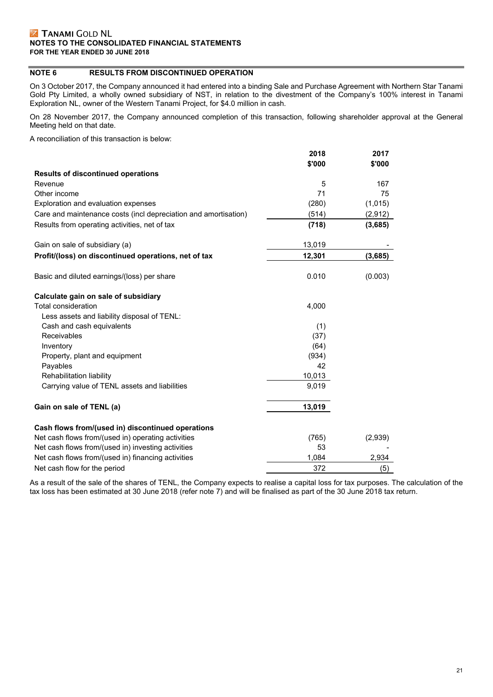# **NOTE 6 RESULTS FROM DISCONTINUED OPERATION**

On 3 October 2017, the Company announced it had entered into a binding Sale and Purchase Agreement with Northern Star Tanami Gold Pty Limited, a wholly owned subsidiary of NST, in relation to the divestment of the Company's 100% interest in Tanami Exploration NL, owner of the Western Tanami Project, for \$4.0 million in cash.

On 28 November 2017, the Company announced completion of this transaction, following shareholder approval at the General Meeting held on that date.

A reconciliation of this transaction is below:

|                                                                 | 2018   | 2017    |
|-----------------------------------------------------------------|--------|---------|
|                                                                 | \$'000 | \$'000  |
| <b>Results of discontinued operations</b>                       |        |         |
| Revenue                                                         | 5      | 167     |
| Other income                                                    | 71     | 75      |
| Exploration and evaluation expenses                             | (280)  | (1,015) |
| Care and maintenance costs (incl depreciation and amortisation) | (514)  | (2,912) |
| Results from operating activities, net of tax                   | (718)  | (3,685) |
| Gain on sale of subsidiary (a)                                  | 13,019 |         |
| Profit/(loss) on discontinued operations, net of tax            | 12,301 | (3,685) |
| Basic and diluted earnings/(loss) per share                     | 0.010  | (0.003) |
| Calculate gain on sale of subsidiary                            |        |         |
| Total consideration                                             | 4,000  |         |
| Less assets and liability disposal of TENL:                     |        |         |
| Cash and cash equivalents                                       | (1)    |         |
| Receivables                                                     | (37)   |         |
| Inventory                                                       | (64)   |         |
| Property, plant and equipment                                   | (934)  |         |
| Payables                                                        | 42     |         |
| Rehabilitation liability                                        | 10,013 |         |
| Carrying value of TENL assets and liabilities                   | 9,019  |         |
| Gain on sale of TENL (a)                                        | 13,019 |         |
| Cash flows from/(used in) discontinued operations               |        |         |
| Net cash flows from/(used in) operating activities              | (765)  | (2,939) |
| Net cash flows from/(used in) investing activities              | 53     |         |
| Net cash flows from/(used in) financing activities              | 1,084  | 2,934   |
| Net cash flow for the period                                    | 372    | (5)     |

As a result of the sale of the shares of TENL, the Company expects to realise a capital loss for tax purposes. The calculation of the tax loss has been estimated at 30 June 2018 (refer note 7) and will be finalised as part of the 30 June 2018 tax return.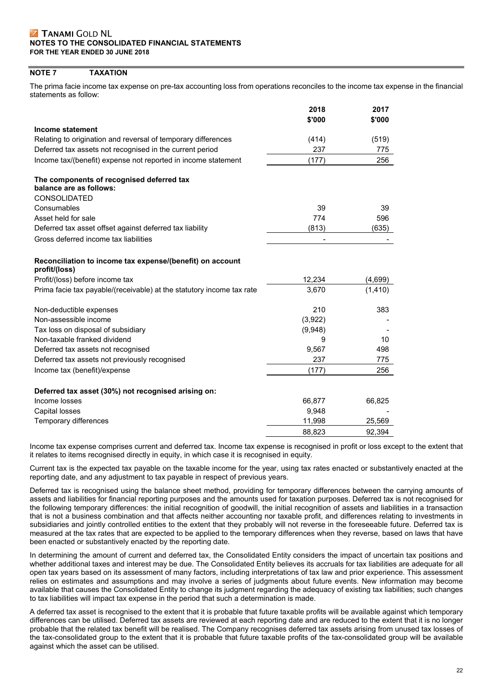# **NOTE 7 TAXATION**

The prima facie income tax expense on pre-tax accounting loss from operations reconciles to the income tax expense in the financial statements as follow:

|                                                                            | 2018<br>\$'000 | 2017<br>\$'000 |
|----------------------------------------------------------------------------|----------------|----------------|
| Income statement                                                           |                |                |
| Relating to origination and reversal of temporary differences              | (414)          | (519)          |
| Deferred tax assets not recognised in the current period                   | 237            | 775            |
| Income tax/(benefit) expense not reported in income statement              | (177)          | 256            |
| The components of recognised deferred tax                                  |                |                |
| balance are as follows:                                                    |                |                |
| <b>CONSOLIDATED</b>                                                        |                |                |
| Consumables                                                                | 39             | 39             |
| Asset held for sale                                                        | 774            | 596            |
| Deferred tax asset offset against deferred tax liability                   | (813)          | (635)          |
| Gross deferred income tax liabilities                                      |                |                |
| Reconciliation to income tax expense/(benefit) on account<br>profit/(loss) |                |                |
| Profit/(loss) before income tax                                            | 12,234         | (4,699)        |
| Prima facie tax payable/(receivable) at the statutory income tax rate      | 3,670          | (1, 410)       |
| Non-deductible expenses                                                    | 210            | 383            |
| Non-assessible income                                                      | (3,922)        |                |
| Tax loss on disposal of subsidiary                                         | (9,948)        |                |
| Non-taxable franked dividend                                               | 9              | 10             |
| Deferred tax assets not recognised                                         | 9,567          | 498            |
| Deferred tax assets not previously recognised                              | 237            | 775            |
| Income tax (benefit)/expense                                               | (177)          | 256            |
| Deferred tax asset (30%) not recognised arising on:                        |                |                |
| Income losses                                                              | 66,877         | 66,825         |
| Capital losses                                                             | 9,948          |                |
| Temporary differences                                                      | 11,998         | 25,569         |
|                                                                            | 88.823         | 92,394         |

Income tax expense comprises current and deferred tax. Income tax expense is recognised in profit or loss except to the extent that it relates to items recognised directly in equity, in which case it is recognised in equity.

Current tax is the expected tax payable on the taxable income for the year, using tax rates enacted or substantively enacted at the reporting date, and any adjustment to tax payable in respect of previous years.

Deferred tax is recognised using the balance sheet method, providing for temporary differences between the carrying amounts of assets and liabilities for financial reporting purposes and the amounts used for taxation purposes. Deferred tax is not recognised for the following temporary differences: the initial recognition of goodwill, the initial recognition of assets and liabilities in a transaction that is not a business combination and that affects neither accounting nor taxable profit, and differences relating to investments in subsidiaries and jointly controlled entities to the extent that they probably will not reverse in the foreseeable future. Deferred tax is measured at the tax rates that are expected to be applied to the temporary differences when they reverse, based on laws that have been enacted or substantively enacted by the reporting date.

In determining the amount of current and deferred tax, the Consolidated Entity considers the impact of uncertain tax positions and whether additional taxes and interest may be due. The Consolidated Entity believes its accruals for tax liabilities are adequate for all open tax years based on its assessment of many factors, including interpretations of tax law and prior experience. This assessment relies on estimates and assumptions and may involve a series of judgments about future events. New information may become available that causes the Consolidated Entity to change its judgment regarding the adequacy of existing tax liabilities; such changes to tax liabilities will impact tax expense in the period that such a determination is made.

A deferred tax asset is recognised to the extent that it is probable that future taxable profits will be available against which temporary differences can be utilised. Deferred tax assets are reviewed at each reporting date and are reduced to the extent that it is no longer probable that the related tax benefit will be realised. The Company recognises deferred tax assets arising from unused tax losses of the tax-consolidated group to the extent that it is probable that future taxable profits of the tax-consolidated group will be available against which the asset can be utilised.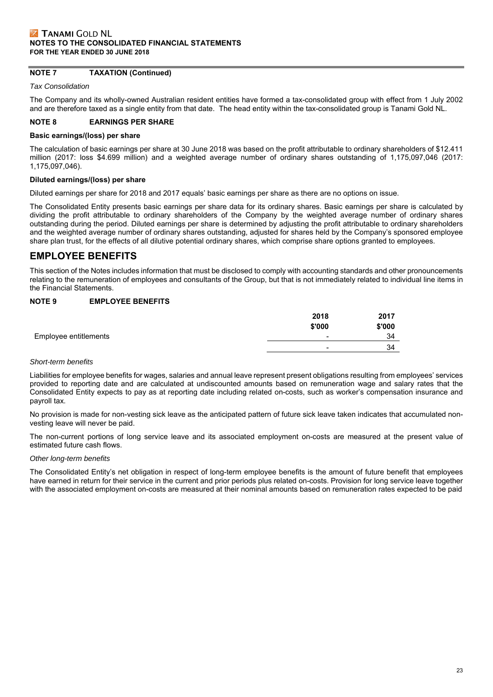# **NOTE 7 TAXATION (Continued)**

*Tax Consolidation*

The Company and its wholly-owned Australian resident entities have formed a tax-consolidated group with effect from 1 July 2002 and are therefore taxed as a single entity from that date. The head entity within the tax-consolidated group is Tanami Gold NL.

#### **NOTE 8 EARNINGS PER SHARE**

#### **Basic earnings/(loss) per share**

The calculation of basic earnings per share at 30 June 2018 was based on the profit attributable to ordinary shareholders of \$12.411 million (2017: loss \$4.699 million) and a weighted average number of ordinary shares outstanding of 1,175,097,046 (2017: 1,175,097,046).

#### **Diluted earnings/(loss) per share**

Diluted earnings per share for 2018 and 2017 equals' basic earnings per share as there are no options on issue.

The Consolidated Entity presents basic earnings per share data for its ordinary shares. Basic earnings per share is calculated by dividing the profit attributable to ordinary shareholders of the Company by the weighted average number of ordinary shares outstanding during the period. Diluted earnings per share is determined by adjusting the profit attributable to ordinary shareholders and the weighted average number of ordinary shares outstanding, adjusted for shares held by the Company's sponsored employee share plan trust, for the effects of all dilutive potential ordinary shares, which comprise share options granted to employees.

# **EMPLOYEE BENEFITS**

This section of the Notes includes information that must be disclosed to comply with accounting standards and other pronouncements relating to the remuneration of employees and consultants of the Group, but that is not immediately related to individual line items in the Financial Statements.

# **NOTE 9 EMPLOYEE BENEFITS**

|                       | 2018<br>\$'000 | 2017<br>\$'000 |
|-----------------------|----------------|----------------|
| Employee entitlements | -              | 34             |
|                       | -              | 34             |
|                       |                |                |

#### *Short-term benefits*

Liabilities for employee benefits for wages, salaries and annual leave represent present obligations resulting from employees' services provided to reporting date and are calculated at undiscounted amounts based on remuneration wage and salary rates that the Consolidated Entity expects to pay as at reporting date including related on-costs, such as worker's compensation insurance and payroll tax.

No provision is made for non-vesting sick leave as the anticipated pattern of future sick leave taken indicates that accumulated nonvesting leave will never be paid.

The non-current portions of long service leave and its associated employment on-costs are measured at the present value of estimated future cash flows.

#### *Other long-term benefits*

The Consolidated Entity's net obligation in respect of long-term employee benefits is the amount of future benefit that employees have earned in return for their service in the current and prior periods plus related on-costs. Provision for long service leave together with the associated employment on-costs are measured at their nominal amounts based on remuneration rates expected to be paid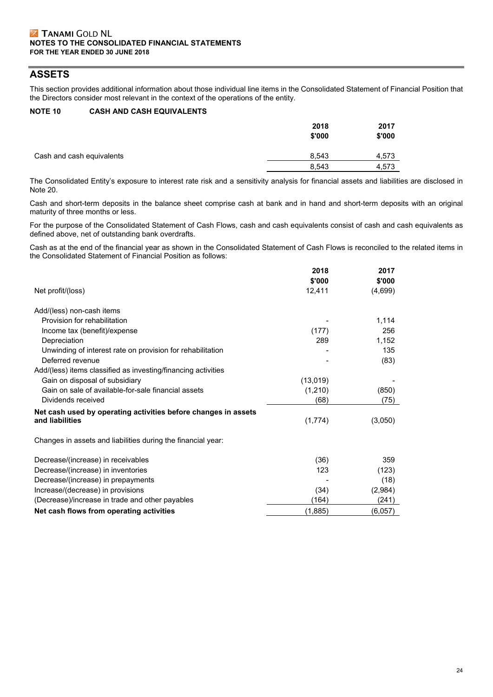# **ASSETS**

This section provides additional information about those individual line items in the Consolidated Statement of Financial Position that the Directors consider most relevant in the context of the operations of the entity.

# **NOTE 10 CASH AND CASH EQUIVALENTS**

|                           | 2018<br>\$'000 | 2017<br>\$'000 |
|---------------------------|----------------|----------------|
| Cash and cash equivalents | 8,543          | 4,573          |
|                           | 8.543          | 4,573          |

The Consolidated Entity's exposure to interest rate risk and a sensitivity analysis for financial assets and liabilities are disclosed in Note 20.

Cash and short-term deposits in the balance sheet comprise cash at bank and in hand and short-term deposits with an original maturity of three months or less.

For the purpose of the Consolidated Statement of Cash Flows, cash and cash equivalents consist of cash and cash equivalents as defined above, net of outstanding bank overdrafts.

Cash as at the end of the financial year as shown in the Consolidated Statement of Cash Flows is reconciled to the related items in the Consolidated Statement of Financial Position as follows:

|                                                                | 2018     | 2017    |
|----------------------------------------------------------------|----------|---------|
|                                                                | \$'000   | \$'000  |
| Net profit/(loss)                                              | 12,411   | (4,699) |
| Add/(less) non-cash items                                      |          |         |
| Provision for rehabilitation                                   |          | 1,114   |
| Income tax (benefit)/expense                                   | (177)    | 256     |
| Depreciation                                                   | 289      | 1,152   |
| Unwinding of interest rate on provision for rehabilitation     |          | 135     |
| Deferred revenue                                               |          | (83)    |
| Add/(less) items classified as investing/financing activities  |          |         |
| Gain on disposal of subsidiary                                 | (13,019) |         |
| Gain on sale of available-for-sale financial assets            | (1, 210) | (850)   |
| Dividends received                                             | (68)     | (75)    |
| Net cash used by operating activities before changes in assets |          |         |
| and liabilities                                                | (1,774)  | (3,050) |
| Changes in assets and liabilities during the financial year:   |          |         |
| Decrease/(increase) in receivables                             | (36)     | 359     |
| Decrease/(increase) in inventories                             | 123      | (123)   |
| Decrease/(increase) in prepayments                             |          | (18)    |
| Increase/(decrease) in provisions                              | (34)     | (2,984) |
| (Decrease)/increase in trade and other payables                | (164)    | (241)   |
| Net cash flows from operating activities                       | (1, 885) | (6,057) |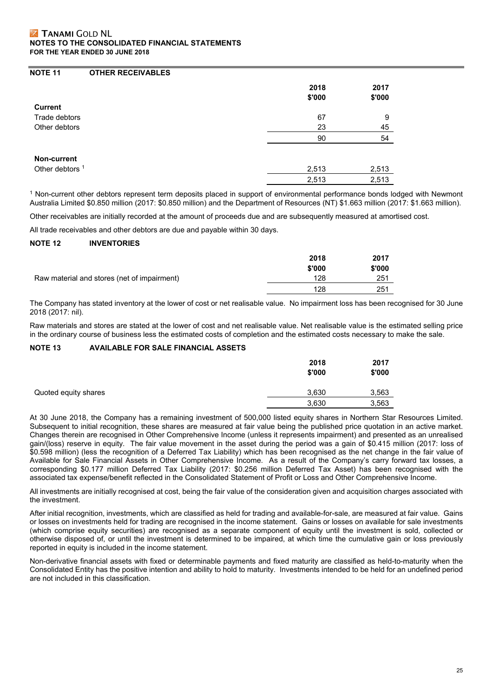# **NOTE 11 OTHER RECEIVABLES**

| <b>Current</b>             | 2018<br>\$'000 | 2017<br>\$'000 |
|----------------------------|----------------|----------------|
|                            |                |                |
| Trade debtors              | 67             | 9              |
| Other debtors              | 23             | 45             |
|                            | 90             | 54             |
| Non-current                |                |                |
| Other debtors <sup>1</sup> | 2,513          | 2,513          |
|                            | 2,513          | 2,513          |

1 Non-current other debtors represent term deposits placed in support of environmental performance bonds lodged with Newmont Australia Limited \$0.850 million (2017: \$0.850 million) and the Department of Resources (NT) \$1.663 million (2017: \$1.663 million).

Other receivables are initially recorded at the amount of proceeds due and are subsequently measured at amortised cost.

All trade receivables and other debtors are due and payable within 30 days.

## **NOTE 12 INVENTORIES**

|                                             | 2018   | 2017   |
|---------------------------------------------|--------|--------|
|                                             | \$'000 | \$'000 |
| Raw material and stores (net of impairment) | 128    | 251    |
|                                             | 128    | 251    |

The Company has stated inventory at the lower of cost or net realisable value. No impairment loss has been recognised for 30 June 2018 (2017: nil).

Raw materials and stores are stated at the lower of cost and net realisable value. Net realisable value is the estimated selling price in the ordinary course of business less the estimated costs of completion and the estimated costs necessary to make the sale.

# **NOTE 13 AVAILABLE FOR SALE FINANCIAL ASSETS**

|                      | 2018<br>\$'000 | 2017<br>\$'000 |
|----------------------|----------------|----------------|
| Quoted equity shares | 3,630          | 3,563          |
|                      | 3,630          | 3,563          |

At 30 June 2018, the Company has a remaining investment of 500,000 listed equity shares in Northern Star Resources Limited. Subsequent to initial recognition, these shares are measured at fair value being the published price quotation in an active market. Changes therein are recognised in Other Comprehensive Income (unless it represents impairment) and presented as an unrealised gain/(loss) reserve in equity. The fair value movement in the asset during the period was a gain of \$0.415 million (2017: loss of \$0.598 million) (less the recognition of a Deferred Tax Liability) which has been recognised as the net change in the fair value of Available for Sale Financial Assets in Other Comprehensive Income. As a result of the Company's carry forward tax losses, a corresponding \$0.177 million Deferred Tax Liability (2017: \$0.256 million Deferred Tax Asset) has been recognised with the associated tax expense/benefit reflected in the Consolidated Statement of Profit or Loss and Other Comprehensive Income.

All investments are initially recognised at cost, being the fair value of the consideration given and acquisition charges associated with the investment.

After initial recognition, investments, which are classified as held for trading and available-for-sale, are measured at fair value. Gains or losses on investments held for trading are recognised in the income statement. Gains or losses on available for sale investments (which comprise equity securities) are recognised as a separate component of equity until the investment is sold, collected or otherwise disposed of, or until the investment is determined to be impaired, at which time the cumulative gain or loss previously reported in equity is included in the income statement.

Non-derivative financial assets with fixed or determinable payments and fixed maturity are classified as held-to-maturity when the Consolidated Entity has the positive intention and ability to hold to maturity. Investments intended to be held for an undefined period are not included in this classification.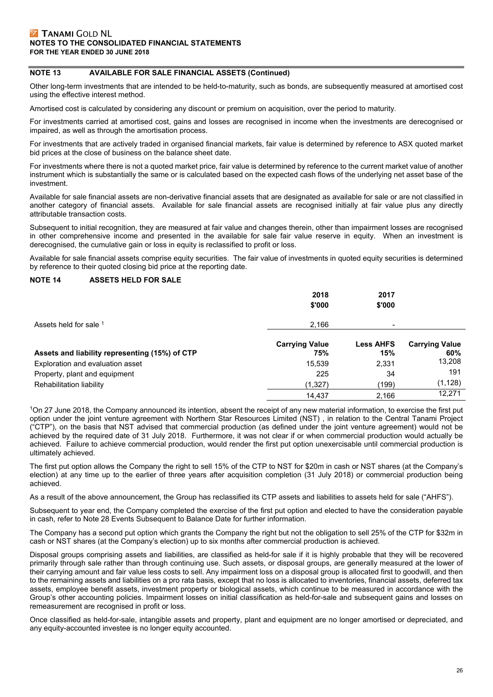# **NOTE 13 AVAILABLE FOR SALE FINANCIAL ASSETS (Continued)**

Other long-term investments that are intended to be held-to-maturity, such as bonds, are subsequently measured at amortised cost using the effective interest method.

Amortised cost is calculated by considering any discount or premium on acquisition, over the period to maturity.

For investments carried at amortised cost, gains and losses are recognised in income when the investments are derecognised or impaired, as well as through the amortisation process.

For investments that are actively traded in organised financial markets, fair value is determined by reference to ASX quoted market bid prices at the close of business on the balance sheet date.

For investments where there is not a quoted market price, fair value is determined by reference to the current market value of another instrument which is substantially the same or is calculated based on the expected cash flows of the underlying net asset base of the investment.

Available for sale financial assets are non-derivative financial assets that are designated as available for sale or are not classified in another category of financial assets. Available for sale financial assets are recognised initially at fair value plus any directly attributable transaction costs.

Subsequent to initial recognition, they are measured at fair value and changes therein, other than impairment losses are recognised in other comprehensive income and presented in the available for sale fair value reserve in equity. When an investment is derecognised, the cumulative gain or loss in equity is reclassified to profit or loss.

Available for sale financial assets comprise equity securities. The fair value of investments in quoted equity securities is determined by reference to their quoted closing bid price at the reporting date.

## **NOTE 14 ASSETS HELD FOR SALE**

|                                                | 2018<br>\$'000               | 2017<br>\$'000           |                              |
|------------------------------------------------|------------------------------|--------------------------|------------------------------|
| Assets held for sale 1                         | 2,166                        | $\overline{\phantom{0}}$ |                              |
| Assets and liability representing (15%) of CTP | <b>Carrying Value</b><br>75% | <b>Less AHFS</b><br>15%  | <b>Carrying Value</b><br>60% |
| Exploration and evaluation asset               | 15,539                       | 2,331                    | 13,208                       |
| Property, plant and equipment                  | 225                          | 34                       | 191                          |
| Rehabilitation liability                       | (1,327)                      | (199)                    | (1, 128)                     |
|                                                | 14,437                       | 2,166                    | 12,271                       |

1On 27 June 2018, the Company announced its intention, absent the receipt of any new material information, to exercise the first put option under the joint venture agreement with Northern Star Resources Limited (NST) , in relation to the Central Tanami Project ("CTP"), on the basis that NST advised that commercial production (as defined under the joint venture agreement) would not be achieved by the required date of 31 July 2018. Furthermore, it was not clear if or when commercial production would actually be achieved. Failure to achieve commercial production, would render the first put option unexercisable until commercial production is ultimately achieved.

The first put option allows the Company the right to sell 15% of the CTP to NST for \$20m in cash or NST shares (at the Company's election) at any time up to the earlier of three years after acquisition completion (31 July 2018) or commercial production being achieved.

As a result of the above announcement, the Group has reclassified its CTP assets and liabilities to assets held for sale ("AHFS").

Subsequent to year end, the Company completed the exercise of the first put option and elected to have the consideration payable in cash, refer to Note 28 Events Subsequent to Balance Date for further information.

The Company has a second put option which grants the Company the right but not the obligation to sell 25% of the CTP for \$32m in cash or NST shares (at the Company's election) up to six months after commercial production is achieved.

Disposal groups comprising assets and liabilities, are classified as held-for sale if it is highly probable that they will be recovered primarily through sale rather than through continuing use. Such assets, or disposal groups, are generally measured at the lower of their carrying amount and fair value less costs to sell. Any impairment loss on a disposal group is allocated first to goodwill, and then to the remaining assets and liabilities on a pro rata basis, except that no loss is allocated to inventories, financial assets, deferred tax assets, employee benefit assets, investment property or biological assets, which continue to be measured in accordance with the Group's other accounting policies. Impairment losses on initial classification as held-for-sale and subsequent gains and losses on remeasurement are recognised in profit or loss.

Once classified as held-for-sale, intangible assets and property, plant and equipment are no longer amortised or depreciated, and any equity-accounted investee is no longer equity accounted.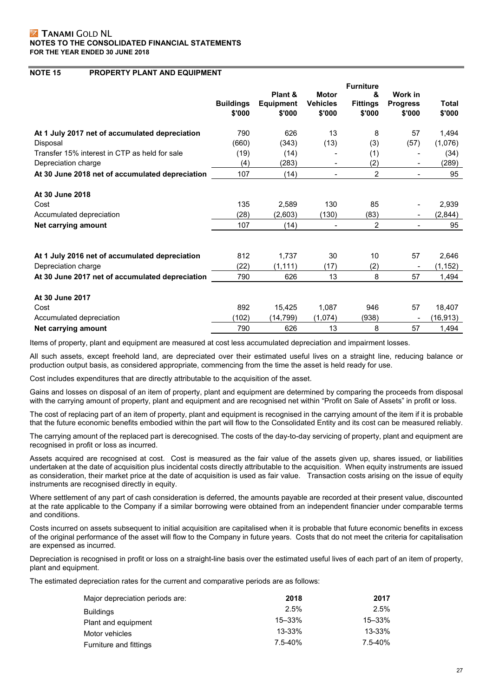## **NOTE 15 PROPERTY PLANT AND EQUIPMENT**

|                                                 | <b>Buildings</b><br>\$'000 | Plant &<br><b>Equipment</b><br>\$'000 | <b>Motor</b><br><b>Vehicles</b><br>\$'000 | <b>Furniture</b><br>&<br><b>Fittings</b><br>\$'000 | Work in<br><b>Progress</b><br>\$'000 | Total<br>\$'000 |
|-------------------------------------------------|----------------------------|---------------------------------------|-------------------------------------------|----------------------------------------------------|--------------------------------------|-----------------|
| At 1 July 2017 net of accumulated depreciation  | 790                        | 626                                   | 13                                        | 8                                                  | 57                                   | 1,494           |
| Disposal                                        | (660)                      | (343)                                 | (13)                                      | (3)                                                | (57)                                 | (1,076)         |
| Transfer 15% interest in CTP as held for sale   | (19)                       | (14)                                  |                                           | (1)                                                |                                      | (34)            |
| Depreciation charge                             | (4)                        | (283)                                 | $\qquad \qquad \blacksquare$              | (2)                                                |                                      | (289)           |
| At 30 June 2018 net of accumulated depreciation | 107                        | (14)                                  | $\overline{\phantom{0}}$                  | 2                                                  |                                      | 95              |
| At 30 June 2018                                 |                            |                                       |                                           |                                                    |                                      |                 |
| Cost                                            | 135                        | 2,589                                 | 130                                       | 85                                                 |                                      | 2,939           |
| Accumulated depreciation                        | (28)                       | (2,603)                               | (130)                                     | (83)                                               |                                      | (2,844)         |
| Net carrying amount                             | 107                        | (14)                                  | $\overline{\phantom{0}}$                  | $\overline{2}$                                     |                                      | 95              |
|                                                 |                            |                                       |                                           |                                                    |                                      |                 |
| At 1 July 2016 net of accumulated depreciation  | 812                        | 1,737                                 | 30                                        | 10                                                 | 57                                   | 2,646           |
| Depreciation charge                             | (22)                       | (1, 111)                              | (17)                                      | (2)                                                |                                      | (1, 152)        |
| At 30 June 2017 net of accumulated depreciation | 790                        | 626                                   | 13                                        | 8                                                  | 57                                   | 1,494           |
| At 30 June 2017                                 |                            |                                       |                                           |                                                    |                                      |                 |
| Cost                                            | 892                        | 15,425                                | 1,087                                     | 946                                                | 57                                   | 18,407          |
| Accumulated depreciation                        | (102)                      | (14,799)                              | (1,074)                                   | (938)                                              |                                      | (16,913)        |
| Net carrying amount                             | 790                        | 626                                   | 13                                        | 8                                                  | 57                                   | 1,494           |

Items of property, plant and equipment are measured at cost less accumulated depreciation and impairment losses.

All such assets, except freehold land, are depreciated over their estimated useful lives on a straight line, reducing balance or production output basis, as considered appropriate, commencing from the time the asset is held ready for use.

Cost includes expenditures that are directly attributable to the acquisition of the asset.

Gains and losses on disposal of an item of property, plant and equipment are determined by comparing the proceeds from disposal with the carrying amount of property, plant and equipment and are recognised net within "Profit on Sale of Assets" in profit or loss.

The cost of replacing part of an item of property, plant and equipment is recognised in the carrying amount of the item if it is probable that the future economic benefits embodied within the part will flow to the Consolidated Entity and its cost can be measured reliably.

The carrying amount of the replaced part is derecognised. The costs of the day-to-day servicing of property, plant and equipment are recognised in profit or loss as incurred.

Assets acquired are recognised at cost. Cost is measured as the fair value of the assets given up, shares issued, or liabilities undertaken at the date of acquisition plus incidental costs directly attributable to the acquisition. When equity instruments are issued as consideration, their market price at the date of acquisition is used as fair value. Transaction costs arising on the issue of equity instruments are recognised directly in equity.

Where settlement of any part of cash consideration is deferred, the amounts payable are recorded at their present value, discounted at the rate applicable to the Company if a similar borrowing were obtained from an independent financier under comparable terms and conditions.

Costs incurred on assets subsequent to initial acquisition are capitalised when it is probable that future economic benefits in excess of the original performance of the asset will flow to the Company in future years. Costs that do not meet the criteria for capitalisation are expensed as incurred.

Depreciation is recognised in profit or loss on a straight-line basis over the estimated useful lives of each part of an item of property, plant and equipment.

The estimated depreciation rates for the current and comparative periods are as follows:

| Major depreciation periods are: | 2018       | 2017       |
|---------------------------------|------------|------------|
| <b>Buildings</b>                | 2.5%       | 2.5%       |
| Plant and equipment             | $15 - 33%$ | $15 - 33%$ |
| Motor vehicles                  | 13-33%     | 13-33%     |
| Furniture and fittings          | 7.5-40%    | 7.5-40%    |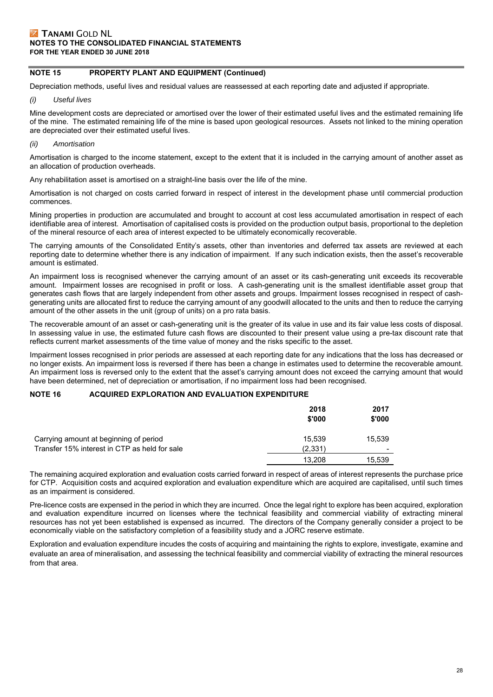# **NOTE 15 PROPERTY PLANT AND EQUIPMENT (Continued)**

Depreciation methods, useful lives and residual values are reassessed at each reporting date and adjusted if appropriate.

*(i) Useful lives* 

Mine development costs are depreciated or amortised over the lower of their estimated useful lives and the estimated remaining life of the mine. The estimated remaining life of the mine is based upon geological resources. Assets not linked to the mining operation are depreciated over their estimated useful lives.

*(ii) Amortisation* 

Amortisation is charged to the income statement, except to the extent that it is included in the carrying amount of another asset as an allocation of production overheads.

Any rehabilitation asset is amortised on a straight-line basis over the life of the mine.

Amortisation is not charged on costs carried forward in respect of interest in the development phase until commercial production commences.

Mining properties in production are accumulated and brought to account at cost less accumulated amortisation in respect of each identifiable area of interest. Amortisation of capitalised costs is provided on the production output basis, proportional to the depletion of the mineral resource of each area of interest expected to be ultimately economically recoverable.

The carrying amounts of the Consolidated Entity's assets, other than inventories and deferred tax assets are reviewed at each reporting date to determine whether there is any indication of impairment. If any such indication exists, then the asset's recoverable amount is estimated.

An impairment loss is recognised whenever the carrying amount of an asset or its cash-generating unit exceeds its recoverable amount. Impairment losses are recognised in profit or loss. A cash-generating unit is the smallest identifiable asset group that generates cash flows that are largely independent from other assets and groups. Impairment losses recognised in respect of cashgenerating units are allocated first to reduce the carrying amount of any goodwill allocated to the units and then to reduce the carrying amount of the other assets in the unit (group of units) on a pro rata basis.

The recoverable amount of an asset or cash-generating unit is the greater of its value in use and its fair value less costs of disposal. In assessing value in use, the estimated future cash flows are discounted to their present value using a pre-tax discount rate that reflects current market assessments of the time value of money and the risks specific to the asset.

Impairment losses recognised in prior periods are assessed at each reporting date for any indications that the loss has decreased or no longer exists. An impairment loss is reversed if there has been a change in estimates used to determine the recoverable amount. An impairment loss is reversed only to the extent that the asset's carrying amount does not exceed the carrying amount that would have been determined, net of depreciation or amortisation, if no impairment loss had been recognised.

# **NOTE 16 ACQUIRED EXPLORATION AND EVALUATION EXPENDITURE**

|                                               | 2018<br>\$'000 | 2017<br>\$'000           |
|-----------------------------------------------|----------------|--------------------------|
| Carrying amount at beginning of period        | 15.539         | 15,539                   |
| Transfer 15% interest in CTP as held for sale | (2,331)        | $\overline{\phantom{a}}$ |
|                                               | 13.208         | 15,539                   |

The remaining acquired exploration and evaluation costs carried forward in respect of areas of interest represents the purchase price for CTP. Acquisition costs and acquired exploration and evaluation expenditure which are acquired are capitalised, until such times as an impairment is considered.

Pre-licence costs are expensed in the period in which they are incurred. Once the legal right to explore has been acquired, exploration and evaluation expenditure incurred on licenses where the technical feasibility and commercial viability of extracting mineral resources has not yet been established is expensed as incurred. The directors of the Company generally consider a project to be economically viable on the satisfactory completion of a feasibility study and a JORC reserve estimate.

Exploration and evaluation expenditure incudes the costs of acquiring and maintaining the rights to explore, investigate, examine and evaluate an area of mineralisation, and assessing the technical feasibility and commercial viability of extracting the mineral resources from that area.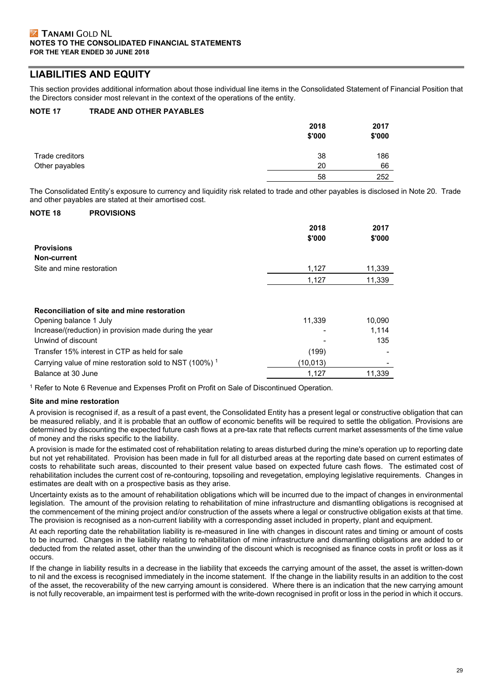# **LIABILITIES AND EQUITY**

This section provides additional information about those individual line items in the Consolidated Statement of Financial Position that the Directors consider most relevant in the context of the operations of the entity.

# **NOTE 17 TRADE AND OTHER PAYABLES**

|                 | 2018<br>\$'000 | 2017<br>\$'000 |
|-----------------|----------------|----------------|
| Trade creditors | 38             | 186            |
| Other payables  | 20             | 66             |
|                 | 58             | 252            |

The Consolidated Entity's exposure to currency and liquidity risk related to trade and other payables is disclosed in Note 20. Trade and other payables are stated at their amortised cost.

## **NOTE 18 PROVISIONS**

|                                                                    | 2018<br>\$'000 | 2017<br>\$'000 |
|--------------------------------------------------------------------|----------------|----------------|
| <b>Provisions</b>                                                  |                |                |
| Non-current                                                        |                |                |
| Site and mine restoration                                          | 1,127          | 11,339         |
|                                                                    | 1.127          | 11,339         |
| Reconciliation of site and mine restoration                        |                |                |
| Opening balance 1 July                                             | 11,339         | 10,090         |
| Increase/(reduction) in provision made during the year             |                | 1,114          |
| Unwind of discount                                                 |                | 135            |
| Transfer 15% interest in CTP as held for sale                      | (199)          |                |
| Carrying value of mine restoration sold to NST (100%) <sup>1</sup> | (10, 013)      |                |
| Balance at 30 June                                                 | 1,127          | 11,339         |

1 Refer to Note 6 Revenue and Expenses Profit on Profit on Sale of Discontinued Operation.

# **Site and mine restoration**

A provision is recognised if, as a result of a past event, the Consolidated Entity has a present legal or constructive obligation that can be measured reliably, and it is probable that an outflow of economic benefits will be required to settle the obligation. Provisions are determined by discounting the expected future cash flows at a pre-tax rate that reflects current market assessments of the time value of money and the risks specific to the liability.

A provision is made for the estimated cost of rehabilitation relating to areas disturbed during the mine's operation up to reporting date but not yet rehabilitated. Provision has been made in full for all disturbed areas at the reporting date based on current estimates of costs to rehabilitate such areas, discounted to their present value based on expected future cash flows. The estimated cost of rehabilitation includes the current cost of re-contouring, topsoiling and revegetation, employing legislative requirements. Changes in estimates are dealt with on a prospective basis as they arise.

Uncertainty exists as to the amount of rehabilitation obligations which will be incurred due to the impact of changes in environmental legislation. The amount of the provision relating to rehabilitation of mine infrastructure and dismantling obligations is recognised at the commencement of the mining project and/or construction of the assets where a legal or constructive obligation exists at that time. The provision is recognised as a non-current liability with a corresponding asset included in property, plant and equipment.

At each reporting date the rehabilitation liability is re-measured in line with changes in discount rates and timing or amount of costs to be incurred. Changes in the liability relating to rehabilitation of mine infrastructure and dismantling obligations are added to or deducted from the related asset, other than the unwinding of the discount which is recognised as finance costs in profit or loss as it occurs.

If the change in liability results in a decrease in the liability that exceeds the carrying amount of the asset, the asset is written-down to nil and the excess is recognised immediately in the income statement. If the change in the liability results in an addition to the cost of the asset, the recoverability of the new carrying amount is considered. Where there is an indication that the new carrying amount is not fully recoverable, an impairment test is performed with the write-down recognised in profit or loss in the period in which it occurs.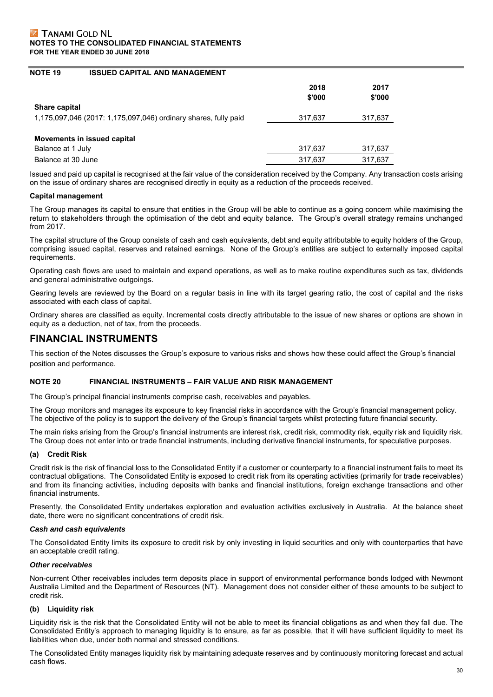## **NOTE 19 ISSUED CAPITAL AND MANAGEMENT**

|                                                                 | 2018<br>\$'000 | 2017<br>\$'000 |
|-----------------------------------------------------------------|----------------|----------------|
| Share capital                                                   |                |                |
| 1,175,097,046 (2017: 1,175,097,046) ordinary shares, fully paid | 317,637        | 317,637        |
|                                                                 |                |                |
| Movements in issued capital                                     |                |                |
| Balance at 1 July                                               | 317,637        | 317,637        |
| Balance at 30 June                                              | 317,637        | 317,637        |

Issued and paid up capital is recognised at the fair value of the consideration received by the Company. Any transaction costs arising on the issue of ordinary shares are recognised directly in equity as a reduction of the proceeds received.

## **Capital management**

The Group manages its capital to ensure that entities in the Group will be able to continue as a going concern while maximising the return to stakeholders through the optimisation of the debt and equity balance. The Group's overall strategy remains unchanged from 2017.

The capital structure of the Group consists of cash and cash equivalents, debt and equity attributable to equity holders of the Group, comprising issued capital, reserves and retained earnings. None of the Group's entities are subject to externally imposed capital requirements.

Operating cash flows are used to maintain and expand operations, as well as to make routine expenditures such as tax, dividends and general administrative outgoings.

Gearing levels are reviewed by the Board on a regular basis in line with its target gearing ratio, the cost of capital and the risks associated with each class of capital.

Ordinary shares are classified as equity. Incremental costs directly attributable to the issue of new shares or options are shown in equity as a deduction, net of tax, from the proceeds.

# **FINANCIAL INSTRUMENTS**

This section of the Notes discusses the Group's exposure to various risks and shows how these could affect the Group's financial position and performance.

#### **NOTE 20 FINANCIAL INSTRUMENTS – FAIR VALUE AND RISK MANAGEMENT**

The Group's principal financial instruments comprise cash, receivables and payables.

The Group monitors and manages its exposure to key financial risks in accordance with the Group's financial management policy. The objective of the policy is to support the delivery of the Group's financial targets whilst protecting future financial security.

The main risks arising from the Group's financial instruments are interest risk, credit risk, commodity risk, equity risk and liquidity risk. The Group does not enter into or trade financial instruments, including derivative financial instruments, for speculative purposes.

# **(a) Credit Risk**

Credit risk is the risk of financial loss to the Consolidated Entity if a customer or counterparty to a financial instrument fails to meet its contractual obligations. The Consolidated Entity is exposed to credit risk from its operating activities (primarily for trade receivables) and from its financing activities, including deposits with banks and financial institutions, foreign exchange transactions and other financial instruments.

Presently, the Consolidated Entity undertakes exploration and evaluation activities exclusively in Australia. At the balance sheet date, there were no significant concentrations of credit risk.

#### *Cash and cash equivalents*

The Consolidated Entity limits its exposure to credit risk by only investing in liquid securities and only with counterparties that have an acceptable credit rating.

#### *Other receivables*

Non-current Other receivables includes term deposits place in support of environmental performance bonds lodged with Newmont Australia Limited and the Department of Resources (NT). Management does not consider either of these amounts to be subject to credit risk.

# **(b) Liquidity risk**

Liquidity risk is the risk that the Consolidated Entity will not be able to meet its financial obligations as and when they fall due. The Consolidated Entity's approach to managing liquidity is to ensure, as far as possible, that it will have sufficient liquidity to meet its liabilities when due, under both normal and stressed conditions.

The Consolidated Entity manages liquidity risk by maintaining adequate reserves and by continuously monitoring forecast and actual cash flows.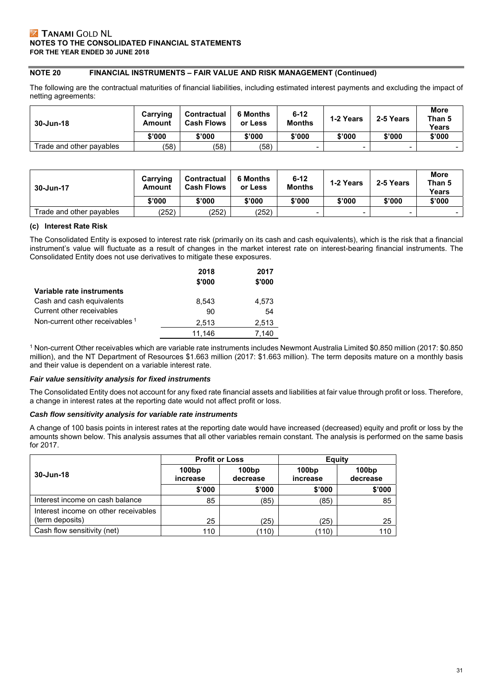# **NOTE 20 FINANCIAL INSTRUMENTS – FAIR VALUE AND RISK MANAGEMENT (Continued)**

The following are the contractual maturities of financial liabilities, including estimated interest payments and excluding the impact of netting agreements:

| 30-Jun-18                | Carrying<br>Amount | Contractual<br><b>Cash Flows</b> | 6 Months<br>or Less | $6 - 12$<br><b>Months</b> | 1-2 Years                | 2-5 Years | <b>More</b><br>Than 5<br><b>Years</b> |
|--------------------------|--------------------|----------------------------------|---------------------|---------------------------|--------------------------|-----------|---------------------------------------|
|                          | \$'000             | \$'000                           | \$'000              | \$'000                    | \$'000                   | \$'000    | \$'000                                |
| Trade and other payables | (58)               | (58)                             | (58)                | -                         | $\overline{\phantom{0}}$ | -         |                                       |

| 30-Jun-17                | Carrying<br>Amount | Contractual<br><b>Cash Flows</b> | <b>6 Months</b><br>or Less | $6 - 12$<br><b>Months</b> | 1-2 Years | 2-5 Years | <b>More</b><br>Than 5<br>Years |
|--------------------------|--------------------|----------------------------------|----------------------------|---------------------------|-----------|-----------|--------------------------------|
|                          | \$'000             | \$'000                           | \$'000                     | \$'000                    | \$'000    | \$'000    | \$'000                         |
| Trade and other payables | (252)              | (252)                            | (252)                      |                           |           |           |                                |

## **(c) Interest Rate Risk**

The Consolidated Entity is exposed to interest rate risk (primarily on its cash and cash equivalents), which is the risk that a financial instrument's value will fluctuate as a result of changes in the market interest rate on interest-bearing financial instruments. The Consolidated Entity does not use derivatives to mitigate these exposures.

|                                 | 2018<br>\$'000 | 2017<br>\$'000 |
|---------------------------------|----------------|----------------|
| Variable rate instruments       |                |                |
| Cash and cash equivalents       | 8.543          | 4.573          |
| Current other receivables       | 90             | 54             |
| Non-current other receivables 1 | 2,513          | 2,513          |
|                                 | 11.146         | 7.140          |

1 Non-current Other receivables which are variable rate instruments includes Newmont Australia Limited \$0.850 million (2017: \$0.850 million), and the NT Department of Resources \$1.663 million (2017: \$1.663 million). The term deposits mature on a monthly basis and their value is dependent on a variable interest rate.

#### *Fair value sensitivity analysis for fixed instruments*

The Consolidated Entity does not account for any fixed rate financial assets and liabilities at fair value through profit or loss. Therefore, a change in interest rates at the reporting date would not affect profit or loss.

# *Cash flow sensitivity analysis for variable rate instruments*

A change of 100 basis points in interest rates at the reporting date would have increased (decreased) equity and profit or loss by the amounts shown below. This analysis assumes that all other variables remain constant. The analysis is performed on the same basis for 2017.

|                                                         | <b>Profit or Loss</b>                  |        | Equity            |                   |  |
|---------------------------------------------------------|----------------------------------------|--------|-------------------|-------------------|--|
| 30-Jun-18                                               | 100bp<br>100bp<br>decrease<br>increase |        | 100bp<br>increase | 100bp<br>decrease |  |
|                                                         | \$'000                                 | \$'000 | \$'000            | \$'000            |  |
| Interest income on cash balance                         | 85                                     | (85)   | (85)              | 85                |  |
| Interest income on other receivables<br>(term deposits) | 25                                     | (25)   | (25)              | 25                |  |
| Cash flow sensitivity (net)                             | 110                                    | (110)  | (110)             | 110               |  |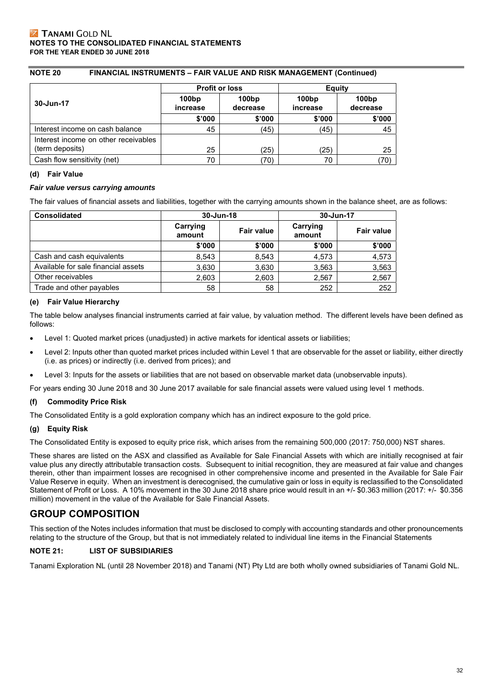# **NOTE 20 FINANCIAL INSTRUMENTS – FAIR VALUE AND RISK MANAGEMENT (Continued)**

|                                      | <b>Profit or loss</b> |                   | Equity            |                   |
|--------------------------------------|-----------------------|-------------------|-------------------|-------------------|
| 30-Jun-17                            | 100bp<br>increase     | 100bp<br>decrease | 100bp<br>increase | 100bp<br>decrease |
|                                      | \$'000                | \$'000            | \$'000            | \$'000            |
| Interest income on cash balance      | 45                    | (45)              | (45)              | 45                |
| Interest income on other receivables |                       |                   |                   |                   |
| (term deposits)                      | 25                    | (25)              | (25)              | 25                |
| Cash flow sensitivity (net)          | 70                    | (70)              | 70                | .70)              |

# **(d) Fair Value**

## *Fair value versus carrying amounts*

The fair values of financial assets and liabilities, together with the carrying amounts shown in the balance sheet, are as follows:

| <b>Consolidated</b>                 | 30-Jun-18          |                   | 30-Jun-17          |                   |
|-------------------------------------|--------------------|-------------------|--------------------|-------------------|
|                                     | Carrying<br>amount | <b>Fair value</b> | Carrying<br>amount | <b>Fair value</b> |
|                                     | \$'000             | \$'000            | \$'000             | \$'000            |
| Cash and cash equivalents           | 8,543              | 8,543             | 4,573              | 4,573             |
| Available for sale financial assets | 3,630              | 3,630             | 3,563              | 3,563             |
| Other receivables                   | 2,603              | 2,603             | 2,567              | 2,567             |
| Trade and other payables            | 58                 | 58                | 252                | 252               |

# **(e) Fair Value Hierarchy**

The table below analyses financial instruments carried at fair value, by valuation method. The different levels have been defined as follows:

- Level 1: Quoted market prices (unadjusted) in active markets for identical assets or liabilities;
- Level 2: Inputs other than quoted market prices included within Level 1 that are observable for the asset or liability, either directly (i.e. as prices) or indirectly (i.e. derived from prices); and
- Level 3: Inputs for the assets or liabilities that are not based on observable market data (unobservable inputs).

For years ending 30 June 2018 and 30 June 2017 available for sale financial assets were valued using level 1 methods.

# **(f) Commodity Price Risk**

The Consolidated Entity is a gold exploration company which has an indirect exposure to the gold price.

# **(g) Equity Risk**

The Consolidated Entity is exposed to equity price risk, which arises from the remaining 500,000 (2017: 750,000) NST shares.

These shares are listed on the ASX and classified as Available for Sale Financial Assets with which are initially recognised at fair value plus any directly attributable transaction costs. Subsequent to initial recognition, they are measured at fair value and changes therein, other than impairment losses are recognised in other comprehensive income and presented in the Available for Sale Fair Value Reserve in equity. When an investment is derecognised, the cumulative gain or loss in equity is reclassified to the Consolidated Statement of Profit or Loss. A 10% movement in the 30 June 2018 share price would result in an +/- \$0.363 million (2017: +/- \$0.356 million) movement in the value of the Available for Sale Financial Assets.

# **GROUP COMPOSITION**

This section of the Notes includes information that must be disclosed to comply with accounting standards and other pronouncements relating to the structure of the Group, but that is not immediately related to individual line items in the Financial Statements

# **NOTE 21: LIST OF SUBSIDIARIES**

Tanami Exploration NL (until 28 November 2018) and Tanami (NT) Pty Ltd are both wholly owned subsidiaries of Tanami Gold NL.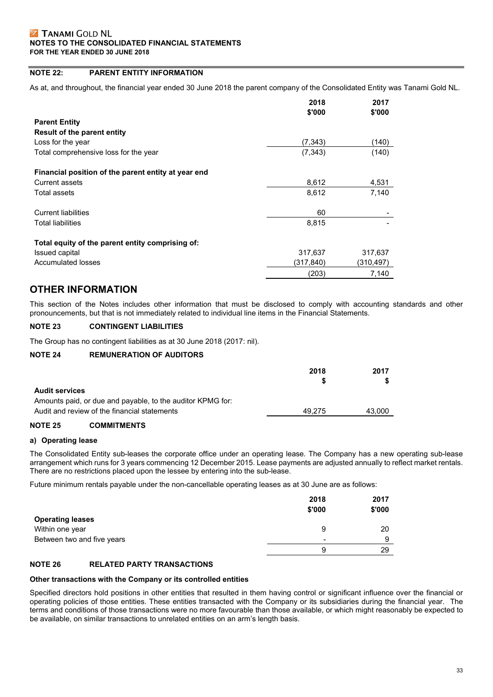# **NOTE 22: PARENT ENTITY INFORMATION**

As at, and throughout, the financial year ended 30 June 2018 the parent company of the Consolidated Entity was Tanami Gold NL.

|                                                     | 2018      | 2017      |
|-----------------------------------------------------|-----------|-----------|
|                                                     | \$'000    | \$'000    |
| <b>Parent Entity</b>                                |           |           |
| Result of the parent entity                         |           |           |
| Loss for the year                                   | (7, 343)  | (140)     |
| Total comprehensive loss for the year               | (7, 343)  | (140)     |
| Financial position of the parent entity at year end |           |           |
| <b>Current assets</b>                               | 8,612     | 4,531     |
| Total assets                                        | 8,612     | 7,140     |
| <b>Current liabilities</b>                          | 60        |           |
| <b>Total liabilities</b>                            | 8,815     |           |
| Total equity of the parent entity comprising of:    |           |           |
| Issued capital                                      | 317,637   | 317,637   |
| Accumulated losses                                  | (317,840) | (310,497) |
|                                                     | (203)     | 7,140     |

# **OTHER INFORMATION**

This section of the Notes includes other information that must be disclosed to comply with accounting standards and other pronouncements, but that is not immediately related to individual line items in the Financial Statements.

# **NOTE 23 CONTINGENT LIABILITIES**

The Group has no contingent liabilities as at 30 June 2018 (2017: nil).

#### **NOTE 24 REMUNERATION OF AUDITORS**

|                                                            | 2018   | 2017   |
|------------------------------------------------------------|--------|--------|
|                                                            |        |        |
| <b>Audit services</b>                                      |        |        |
| Amounts paid, or due and payable, to the auditor KPMG for: |        |        |
| Audit and review of the financial statements               | 49.275 | 43.000 |
|                                                            |        |        |

# **NOTE 25 COMMITMENTS**

#### **a) Operating lease**

The Consolidated Entity sub-leases the corporate office under an operating lease. The Company has a new operating sub-lease arrangement which runs for 3 years commencing 12 December 2015. Lease payments are adjusted annually to reflect market rentals. There are no restrictions placed upon the lessee by entering into the sub-lease.

Future minimum rentals payable under the non-cancellable operating leases as at 30 June are as follows:

|                            | 2018<br>\$'000 | 2017<br>\$'000 |
|----------------------------|----------------|----------------|
| <b>Operating leases</b>    |                |                |
| Within one year            | 9              | 20             |
| Between two and five years | $\,$           | a              |
|                            | 9              | 29             |

#### **NOTE 26 RELATED PARTY TRANSACTIONS**

#### **Other transactions with the Company or its controlled entities**

Specified directors hold positions in other entities that resulted in them having control or significant influence over the financial or operating policies of those entities. These entities transacted with the Company or its subsidiaries during the financial year. The terms and conditions of those transactions were no more favourable than those available, or which might reasonably be expected to be available, on similar transactions to unrelated entities on an arm's length basis.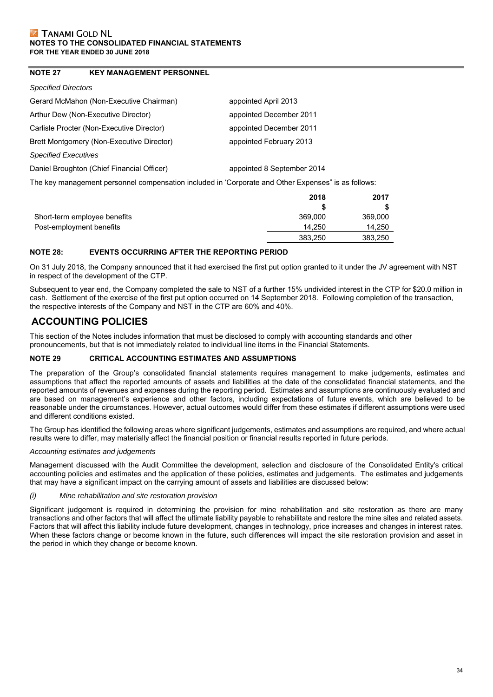# **NOTE 27 KEY MANAGEMENT PERSONNEL**

#### *Specified Directors*

| Gerard McMahon (Non-Executive Chairman)    | appointed April 2013       |
|--------------------------------------------|----------------------------|
| Arthur Dew (Non-Executive Director)        | appointed December 2011    |
| Carlisle Procter (Non-Executive Director)  | appointed December 2011    |
| Brett Montgomery (Non-Executive Director)  | appointed February 2013    |
| <b>Specified Executives</b>                |                            |
| Daniel Broughton (Chief Financial Officer) | appointed 8 September 2014 |
|                                            |                            |

The key management personnel compensation included in 'Corporate and Other Expenses" is as follows:

|                              | 2018    | 2017    |
|------------------------------|---------|---------|
|                              |         |         |
| Short-term employee benefits | 369,000 | 369,000 |
| Post-employment benefits     | 14.250  | 14.250  |
|                              | 383.250 | 383,250 |

# **NOTE 28: EVENTS OCCURRING AFTER THE REPORTING PERIOD**

On 31 July 2018, the Company announced that it had exercised the first put option granted to it under the JV agreement with NST in respect of the development of the CTP.

Subsequent to year end, the Company completed the sale to NST of a further 15% undivided interest in the CTP for \$20.0 million in cash. Settlement of the exercise of the first put option occurred on 14 September 2018. Following completion of the transaction, the respective interests of the Company and NST in the CTP are 60% and 40%.

# **ACCOUNTING POLICIES**

This section of the Notes includes information that must be disclosed to comply with accounting standards and other pronouncements, but that is not immediately related to individual line items in the Financial Statements.

# **NOTE 29 CRITICAL ACCOUNTING ESTIMATES AND ASSUMPTIONS**

The preparation of the Group's consolidated financial statements requires management to make judgements, estimates and assumptions that affect the reported amounts of assets and liabilities at the date of the consolidated financial statements, and the reported amounts of revenues and expenses during the reporting period. Estimates and assumptions are continuously evaluated and are based on management's experience and other factors, including expectations of future events, which are believed to be reasonable under the circumstances. However, actual outcomes would differ from these estimates if different assumptions were used and different conditions existed.

The Group has identified the following areas where significant judgements, estimates and assumptions are required, and where actual results were to differ, may materially affect the financial position or financial results reported in future periods.

# *Accounting estimates and judgements*

Management discussed with the Audit Committee the development, selection and disclosure of the Consolidated Entity's critical accounting policies and estimates and the application of these policies, estimates and judgements. The estimates and judgements that may have a significant impact on the carrying amount of assets and liabilities are discussed below:

#### *(i) Mine rehabilitation and site restoration provision*

Significant judgement is required in determining the provision for mine rehabilitation and site restoration as there are many transactions and other factors that will affect the ultimate liability payable to rehabilitate and restore the mine sites and related assets. Factors that will affect this liability include future development, changes in technology, price increases and changes in interest rates. When these factors change or become known in the future, such differences will impact the site restoration provision and asset in the period in which they change or become known.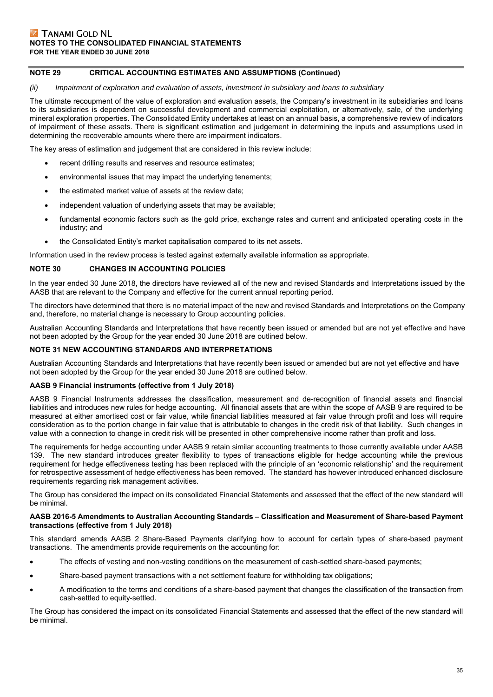# **NOTE 29 CRITICAL ACCOUNTING ESTIMATES AND ASSUMPTIONS (Continued)**

#### *(ii) Impairment of exploration and evaluation of assets, investment in subsidiary and loans to subsidiary*

The ultimate recoupment of the value of exploration and evaluation assets, the Company's investment in its subsidiaries and loans to its subsidiaries is dependent on successful development and commercial exploitation, or alternatively, sale, of the underlying mineral exploration properties. The Consolidated Entity undertakes at least on an annual basis, a comprehensive review of indicators of impairment of these assets. There is significant estimation and judgement in determining the inputs and assumptions used in determining the recoverable amounts where there are impairment indicators.

The key areas of estimation and judgement that are considered in this review include:

- recent drilling results and reserves and resource estimates;
- environmental issues that may impact the underlying tenements;
- the estimated market value of assets at the review date;
- independent valuation of underlying assets that may be available;
- fundamental economic factors such as the gold price, exchange rates and current and anticipated operating costs in the industry; and
- the Consolidated Entity's market capitalisation compared to its net assets.

Information used in the review process is tested against externally available information as appropriate.

#### **NOTE 30 CHANGES IN ACCOUNTING POLICIES**

In the year ended 30 June 2018, the directors have reviewed all of the new and revised Standards and Interpretations issued by the AASB that are relevant to the Company and effective for the current annual reporting period.

The directors have determined that there is no material impact of the new and revised Standards and Interpretations on the Company and, therefore, no material change is necessary to Group accounting policies.

Australian Accounting Standards and Interpretations that have recently been issued or amended but are not yet effective and have not been adopted by the Group for the year ended 30 June 2018 are outlined below.

#### **NOTE 31 NEW ACCOUNTING STANDARDS AND INTERPRETATIONS**

Australian Accounting Standards and Interpretations that have recently been issued or amended but are not yet effective and have not been adopted by the Group for the year ended 30 June 2018 are outlined below.

#### **AASB 9 Financial instruments (effective from 1 July 2018)**

AASB 9 Financial Instruments addresses the classification, measurement and de-recognition of financial assets and financial liabilities and introduces new rules for hedge accounting. All financial assets that are within the scope of AASB 9 are required to be measured at either amortised cost or fair value, while financial liabilities measured at fair value through profit and loss will require consideration as to the portion change in fair value that is attributable to changes in the credit risk of that liability. Such changes in value with a connection to change in credit risk will be presented in other comprehensive income rather than profit and loss.

The requirements for hedge accounting under AASB 9 retain similar accounting treatments to those currently available under AASB 139. The new standard introduces greater flexibility to types of transactions eligible for hedge accounting while the previous requirement for hedge effectiveness testing has been replaced with the principle of an 'economic relationship' and the requirement for retrospective assessment of hedge effectiveness has been removed. The standard has however introduced enhanced disclosure requirements regarding risk management activities.

The Group has considered the impact on its consolidated Financial Statements and assessed that the effect of the new standard will be minimal.

#### **AASB 2016-5 Amendments to Australian Accounting Standards – Classification and Measurement of Share-based Payment transactions (effective from 1 July 2018)**

This standard amends AASB 2 Share-Based Payments clarifying how to account for certain types of share-based payment transactions. The amendments provide requirements on the accounting for:

- The effects of vesting and non-vesting conditions on the measurement of cash-settled share-based payments;
- Share-based payment transactions with a net settlement feature for withholding tax obligations;
- A modification to the terms and conditions of a share-based payment that changes the classification of the transaction from cash-settled to equity-settled.

The Group has considered the impact on its consolidated Financial Statements and assessed that the effect of the new standard will be minimal.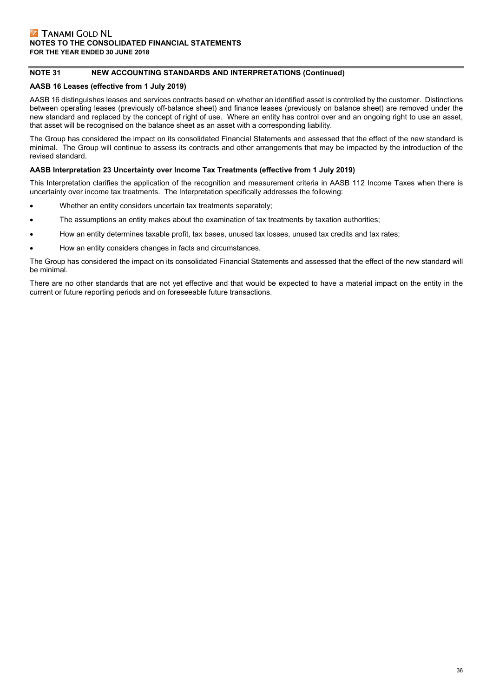# **NOTE 31 NEW ACCOUNTING STANDARDS AND INTERPRETATIONS (Continued)**

# **AASB 16 Leases (effective from 1 July 2019)**

AASB 16 distinguishes leases and services contracts based on whether an identified asset is controlled by the customer. Distinctions between operating leases (previously off-balance sheet) and finance leases (previously on balance sheet) are removed under the new standard and replaced by the concept of right of use. Where an entity has control over and an ongoing right to use an asset, that asset will be recognised on the balance sheet as an asset with a corresponding liability.

The Group has considered the impact on its consolidated Financial Statements and assessed that the effect of the new standard is minimal. The Group will continue to assess its contracts and other arrangements that may be impacted by the introduction of the revised standard.

## **AASB Interpretation 23 Uncertainty over Income Tax Treatments (effective from 1 July 2019)**

This Interpretation clarifies the application of the recognition and measurement criteria in AASB 112 Income Taxes when there is uncertainty over income tax treatments. The Interpretation specifically addresses the following:

- Whether an entity considers uncertain tax treatments separately;
- The assumptions an entity makes about the examination of tax treatments by taxation authorities;
- How an entity determines taxable profit, tax bases, unused tax losses, unused tax credits and tax rates;
- How an entity considers changes in facts and circumstances.

The Group has considered the impact on its consolidated Financial Statements and assessed that the effect of the new standard will be minimal.

There are no other standards that are not yet effective and that would be expected to have a material impact on the entity in the current or future reporting periods and on foreseeable future transactions.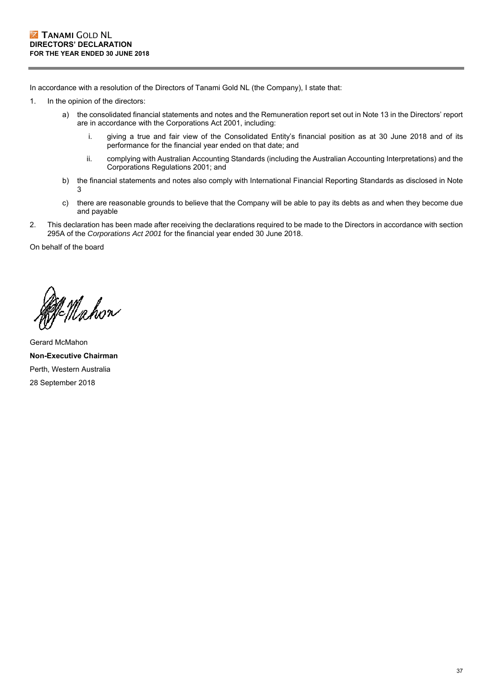In accordance with a resolution of the Directors of Tanami Gold NL (the Company), I state that:

- 1. In the opinion of the directors:
	- a) the consolidated financial statements and notes and the Remuneration report set out in Note 13 in the Directors' report are in accordance with the Corporations Act 2001, including:
		- i. giving a true and fair view of the Consolidated Entity's financial position as at 30 June 2018 and of its performance for the financial year ended on that date; and
		- ii. complying with Australian Accounting Standards (including the Australian Accounting Interpretations) and the Corporations Regulations 2001; and
	- b) the financial statements and notes also comply with International Financial Reporting Standards as disclosed in Note  $\mathbf{z}$
	- c) there are reasonable grounds to believe that the Company will be able to pay its debts as and when they become due and payable
- 2. This declaration has been made after receiving the declarations required to be made to the Directors in accordance with section 295A of the *Corporations Act 2001* for the financial year ended 30 June 2018.

On behalf of the board

n<br>Mahon

Gerard McMahon **Non-Executive Chairman**  Perth, Western Australia 28 September 2018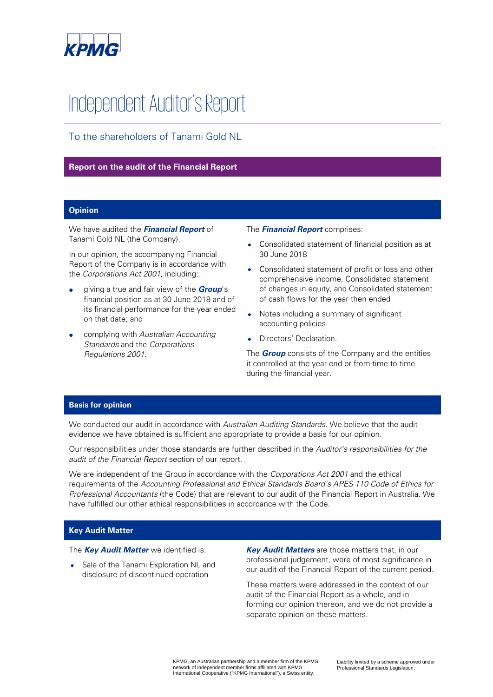

# Independent Auditor's Report

To the shareholders of Tanami Gold NL

# **Report on the audit of the Financial Report**

# **Opinion**

We have audited the **Financial Report** of Tanami Gold NL (the Company).

In our opinion, the accompanying Financial Report of the Company is in accordance with the Corporations Act 2001, including:

- giving a true and fair view of the **Group**'s financial position as at 30 June 2018 and of its financial performance for the year ended on that date; and
- complying with Australian Accounting Standards and the Corporations Regulations 2001.

# The **Financial Report** comprises:

- Consolidated statement of financial position as at 30 June 2018
- Consolidated statement of profit or loss and other comprehensive income, Consolidated statement of changes in equity, and Consolidated statement of cash flows for the year then ended
- Notes including a summary of significant accounting policies
- Directors' Declaration.

The **Group** consists of the Company and the entities it controlled at the year-end or from time to time during the financial year.

# **Basis for opinion**

We conducted our audit in accordance with Australian Auditing Standards. We believe that the audit evidence we have obtained is sufficient and appropriate to provide a basis for our opinion.

Our responsibilities under those standards are further described in the Auditor's responsibilities for the audit of the Financial Report section of our report.

We are independent of the Group in accordance with the Corporations Act 2001 and the ethical requirements of the Accounting Professional and Ethical Standards Board's APES 110 Code of Ethics for Professional Accountants (the Code) that are relevant to our audit of the Financial Report in Australia. We have fulfilled our other ethical responsibilities in accordance with the Code.

# **Key Audit Matter**

The **Key Audit Matter** we identified is:

• Sale of the Tanami Exploration NL and disclosure of discontinued operation

**Key Audit Matters** are those matters that, in our professional judgement, were of most significance in our audit of the Financial Report of the current period.

These matters were addressed in the context of our audit of the Financial Report as a whole, and in forming our opinion thereon, and we do not provide a separate opinion on these matters.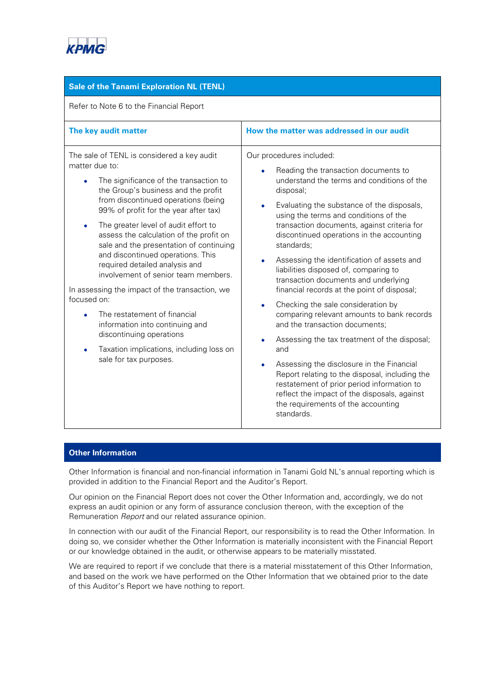

# **Sale of the Tanami Exploration NL (TENL)**

Refer to Note 6 to the Financial Report

| The key audit matter                                                                                                                                                                                                                                                                                                                                                                                                                                                                                                                                                                                                                                                                                            | How the matter was addressed in our audit                                                                                                                                                                                                                                                                                                                                                                                                                                                                                                                                                                                                                                                                                                                                                                                                                                                                                                          |
|-----------------------------------------------------------------------------------------------------------------------------------------------------------------------------------------------------------------------------------------------------------------------------------------------------------------------------------------------------------------------------------------------------------------------------------------------------------------------------------------------------------------------------------------------------------------------------------------------------------------------------------------------------------------------------------------------------------------|----------------------------------------------------------------------------------------------------------------------------------------------------------------------------------------------------------------------------------------------------------------------------------------------------------------------------------------------------------------------------------------------------------------------------------------------------------------------------------------------------------------------------------------------------------------------------------------------------------------------------------------------------------------------------------------------------------------------------------------------------------------------------------------------------------------------------------------------------------------------------------------------------------------------------------------------------|
| The sale of TENL is considered a key audit<br>matter due to:<br>The significance of the transaction to<br>the Group's business and the profit<br>from discontinued operations (being<br>99% of profit for the year after tax)<br>The greater level of audit effort to<br>assess the calculation of the profit on<br>sale and the presentation of continuing<br>and discontinued operations. This<br>required detailed analysis and<br>involvement of senior team members.<br>In assessing the impact of the transaction, we<br>focused on:<br>The restatement of financial<br>information into continuing and<br>discontinuing operations<br>Taxation implications, including loss on<br>sale for tax purposes. | Our procedures included:<br>Reading the transaction documents to<br>understand the terms and conditions of the<br>disposal;<br>Evaluating the substance of the disposals,<br>٠<br>using the terms and conditions of the<br>transaction documents, against criteria for<br>discontinued operations in the accounting<br>standards;<br>Assessing the identification of assets and<br>٠<br>liabilities disposed of, comparing to<br>transaction documents and underlying<br>financial records at the point of disposal;<br>Checking the sale consideration by<br>comparing relevant amounts to bank records<br>and the transaction documents;<br>Assessing the tax treatment of the disposal;<br>and<br>Assessing the disclosure in the Financial<br>Report relating to the disposal, including the<br>restatement of prior period information to<br>reflect the impact of the disposals, against<br>the requirements of the accounting<br>standards. |

# **Other Information**

Other Information is financial and non-financial information in Tanami Gold NL's annual reporting which is provided in addition to the Financial Report and the Auditor's Report.

Our opinion on the Financial Report does not cover the Other Information and, accordingly, we do not express an audit opinion or any form of assurance conclusion thereon, with the exception of the Remuneration Report and our related assurance opinion.

In connection with our audit of the Financial Report, our responsibility is to read the Other Information. In doing so, we consider whether the Other Information is materially inconsistent with the Financial Report or our knowledge obtained in the audit, or otherwise appears to be materially misstated.

We are required to report if we conclude that there is a material misstatement of this Other Information, and based on the work we have performed on the Other Information that we obtained prior to the date of this Auditor's Report we have nothing to report.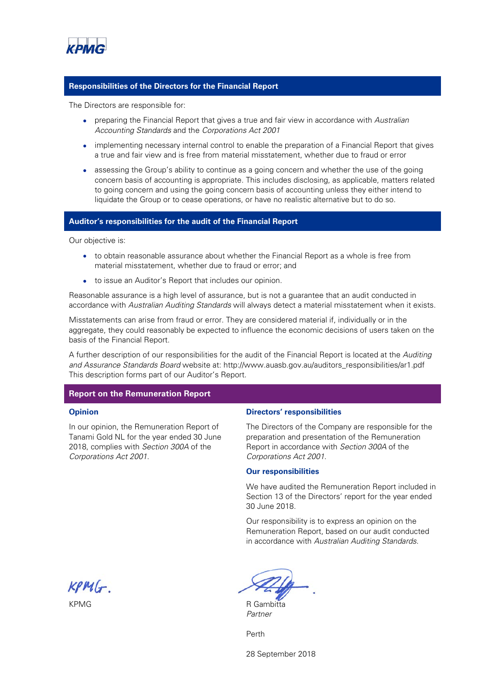

# **Responsibilities of the Directors for the Financial Report**

The Directors are responsible for:

- preparing the Financial Report that gives a true and fair view in accordance with Australian Accounting Standards and the Corporations Act 2001
- implementing necessary internal control to enable the preparation of a Financial Report that gives a true and fair view and is free from material misstatement, whether due to fraud or error
- assessing the Group's ability to continue as a going concern and whether the use of the going concern basis of accounting is appropriate. This includes disclosing, as applicable, matters related to going concern and using the going concern basis of accounting unless they either intend to liquidate the Group or to cease operations, or have no realistic alternative but to do so.

#### **Auditor's responsibilities for the audit of the Financial Report**

Our objective is:

- to obtain reasonable assurance about whether the Financial Report as a whole is free from material misstatement, whether due to fraud or error; and
- to issue an Auditor's Report that includes our opinion.

Reasonable assurance is a high level of assurance, but is not a guarantee that an audit conducted in accordance with Australian Auditing Standards will always detect a material misstatement when it exists.

Misstatements can arise from fraud or error. They are considered material if, individually or in the aggregate, they could reasonably be expected to influence the economic decisions of users taken on the basis of the Financial Report.

A further description of our responsibilities for the audit of the Financial Report is located at the Auditing and Assurance Standards Board website at: http://www.auasb.gov.au/auditors\_responsibilities/ar1.pdf This description forms part of our Auditor's Report.

#### **Report on the Remuneration Report**

#### **Opinion**

In our opinion, the Remuneration Report of Tanami Gold NL for the year ended 30 June 2018, complies with Section 300A of the Corporations Act 2001.

#### **Directors' responsibilities**

The Directors of the Company are responsible for the preparation and presentation of the Remuneration Report in accordance with Section 300A of the Corporations Act 2001.

#### **Our responsibilities**

We have audited the Remuneration Report included in Section 13 of the Directors' report for the year ended 30 June 2018.

Our responsibility is to express an opinion on the Remuneration Report, based on our audit conducted in accordance with Australian Auditing Standards.

 $KPM(r)$ 

KPMG R Gambitta

Partner

Perth

28 September 2018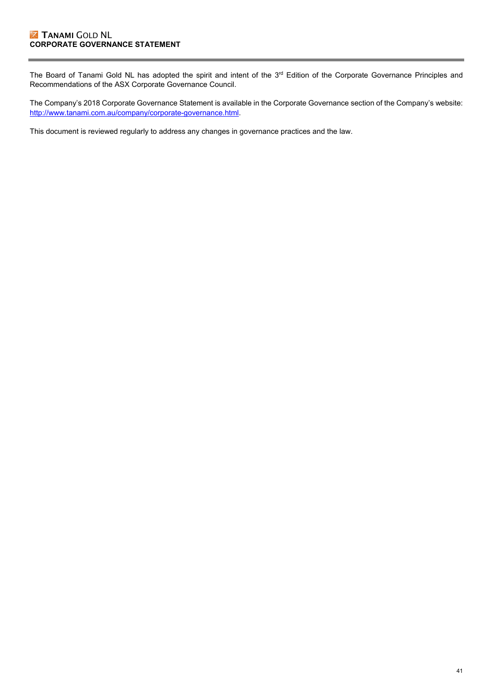# **Z TANAMI GOLD NL CORPORATE GOVERNANCE STATEMENT**

The Board of Tanami Gold NL has adopted the spirit and intent of the 3<sup>rd</sup> Edition of the Corporate Governance Principles and Recommendations of the ASX Corporate Governance Council.

The Company's 2018 Corporate Governance Statement is available in the Corporate Governance section of the Company's website: http://www.tanami.com.au/company/corporate-governance.html.

This document is reviewed regularly to address any changes in governance practices and the law.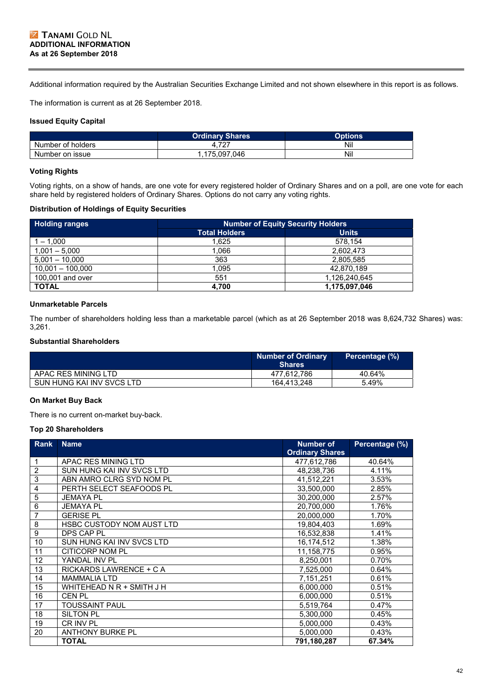Additional information required by the Australian Securities Exchange Limited and not shown elsewhere in this report is as follows.

The information is current as at 26 September 2018.

# **Issued Equity Capital**

|                   | <b>Ordinary Shares</b> | <b>Options</b> |
|-------------------|------------------------|----------------|
| Number of holders | 1. I Z I               | Nil            |
| Number on issue   | .175.097.046           | Nil            |

## **Voting Rights**

Voting rights, on a show of hands, are one vote for every registered holder of Ordinary Shares and on a poll, are one vote for each share held by registered holders of Ordinary Shares. Options do not carry any voting rights.

## **Distribution of Holdings of Equity Securities**

| <b>Holding ranges</b> | <b>Number of Equity Security Holders</b> |               |  |  |
|-----------------------|------------------------------------------|---------------|--|--|
|                       | <b>Total Holders</b><br><b>Units</b>     |               |  |  |
| $1 - 1,000$           | 1.625                                    | 578,154       |  |  |
| $1,001 - 5,000$       | 1.066                                    | 2.602.473     |  |  |
| $5,001 - 10,000$      | 363                                      | 2,805,585     |  |  |
| $10,001 - 100,000$    | 1.095                                    | 42.870.189    |  |  |
| 100,001 and over      | 551                                      | 1,126,240,645 |  |  |
| <b>TOTAL</b>          | 4,700                                    | 1,175,097,046 |  |  |

## **Unmarketable Parcels**

The number of shareholders holding less than a marketable parcel (which as at 26 September 2018 was 8,624,732 Shares) was: 3,261.

# **Substantial Shareholders**

|                           | <b>Number of Ordinary</b><br><b>Shares</b> | Percentage (%) |
|---------------------------|--------------------------------------------|----------------|
| APAC RES MINING LTD       | 477.612.786                                | 40.64%         |
| SUN HUNG KAI INV SVCS LTD | 164.413.248                                | 5.49%          |

# **On Market Buy Back**

There is no current on-market buy-back.

#### **Top 20 Shareholders**

| Rank            | <b>Name</b>               | <b>Number of</b><br><b>Ordinary Shares</b> | Percentage (%) |
|-----------------|---------------------------|--------------------------------------------|----------------|
| 1               | APAC RES MINING LTD       | 477,612,786                                | 40.64%         |
| $\overline{2}$  | SUN HUNG KAI INV SVCS LTD | 48,238,736                                 | 4.11%          |
| $\overline{3}$  | ABN AMRO CLRG SYD NOM PL  | 41,512,221                                 | 3.53%          |
| $\overline{4}$  | PERTH SELECT SEAFOODS PL  | 33,500,000                                 | 2.85%          |
| $\overline{5}$  | <b>JEMAYA PL</b>          | 30,200,000                                 | 2.57%          |
| $6\phantom{1}6$ | <b>JEMAYA PL</b>          | 20,700,000                                 | 1.76%          |
| $\overline{7}$  | <b>GERISE PL</b>          | 20,000,000                                 | 1.70%          |
| 8               | HSBC CUSTODY NOM AUST LTD | 19,804,403                                 | 1.69%          |
| $\overline{9}$  | DPS CAP PL                | 16,532,838                                 | 1.41%          |
| 10              | SUN HUNG KAI INV SVCS LTD | 16,174,512                                 | 1.38%          |
| 11              | <b>CITICORP NOM PL</b>    | 11,158,775                                 | 0.95%          |
| 12              | YANDAL INV PL             | 8,250,001                                  | 0.70%          |
| 13              | RICKARDS LAWRENCE + C A   | 7,525,000                                  | 0.64%          |
| 14              | <b>MAMMALIA LTD</b>       | 7,151,251                                  | 0.61%          |
| 15              | WHITEHEAD N R + SMITH J H | 6,000,000                                  | 0.51%          |
| 16              | <b>CEN PL</b>             | 6,000,000                                  | 0.51%          |
| 17              | <b>TOUSSAINT PAUL</b>     | 5,519,764                                  | 0.47%          |
| 18              | <b>SILTON PL</b>          | 5,300,000                                  | 0.45%          |
| 19              | CR INV PL                 | 5,000,000                                  | 0.43%          |
| 20              | <b>ANTHONY BURKE PL</b>   | 5,000,000                                  | 0.43%          |
|                 | <b>TOTAL</b>              | 791,180,287                                | 67.34%         |